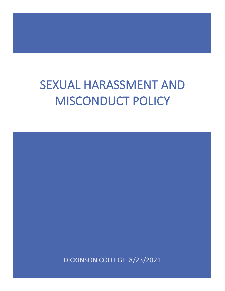# SEXUAL HARASSMENT AND MISCONDUCT POLICY

DICKINSON COLLEGE 8/23/2021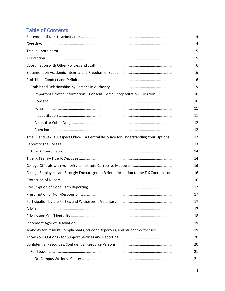# **Table of Contents**

| Important Related Information - Consent, Force, Incapacitation, Coercion  10              |  |
|-------------------------------------------------------------------------------------------|--|
|                                                                                           |  |
|                                                                                           |  |
|                                                                                           |  |
|                                                                                           |  |
|                                                                                           |  |
| Title IX and Sexual Respect Office - A Central Resource for Understanding Your Options 12 |  |
|                                                                                           |  |
|                                                                                           |  |
|                                                                                           |  |
|                                                                                           |  |
| College Employees are Strongly Encouraged to Refer Information to the TIX Coordinator  16 |  |
|                                                                                           |  |
|                                                                                           |  |
|                                                                                           |  |
|                                                                                           |  |
|                                                                                           |  |
|                                                                                           |  |
|                                                                                           |  |
|                                                                                           |  |
|                                                                                           |  |
|                                                                                           |  |
|                                                                                           |  |
|                                                                                           |  |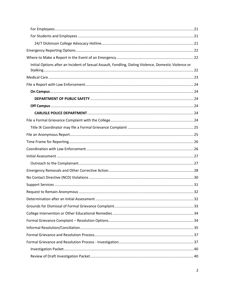| Initial Options after an Incident of Sexual Assault, Fondling, Dating Violence, Domestic Violence or |  |
|------------------------------------------------------------------------------------------------------|--|
|                                                                                                      |  |
|                                                                                                      |  |
|                                                                                                      |  |
|                                                                                                      |  |
|                                                                                                      |  |
|                                                                                                      |  |
|                                                                                                      |  |
|                                                                                                      |  |
|                                                                                                      |  |
|                                                                                                      |  |
|                                                                                                      |  |
|                                                                                                      |  |
|                                                                                                      |  |
|                                                                                                      |  |
|                                                                                                      |  |
|                                                                                                      |  |
|                                                                                                      |  |
|                                                                                                      |  |
|                                                                                                      |  |
|                                                                                                      |  |
|                                                                                                      |  |
|                                                                                                      |  |
|                                                                                                      |  |
|                                                                                                      |  |
|                                                                                                      |  |
|                                                                                                      |  |
|                                                                                                      |  |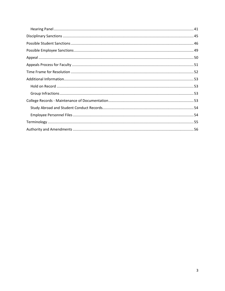<span id="page-3-0"></span>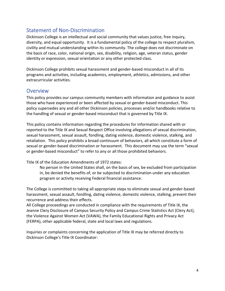# Statement of Non-Discrimination

Dickinson College is an intellectual and social community that values justice, free inquiry, diversity, and equal opportunity. It is a fundamental policy of the college to respect pluralism, civility and mutual understanding within its community. The college does not discriminate on the basis of race, color, national origin, sex, disability, religion, age, veteran status, gender identity or expression, sexual orientation or any other protected class.

Dickinson College prohibits sexual harassment and gender-based misconduct in all of its programs and activities, including academics, employment, athletics, admissions, and other extracurricular activities.

### <span id="page-4-0"></span>**Overview**

This policy provides our campus community members with information and guidance to assist those who have experienced or been affected by sexual or gender-based misconduct. This policy supersedes any and all other Dickinson policies, processes and/or handbooks relative to the handling of sexual or gender-based misconduct that is governed by Title IX.

This policy contains information regarding the procedures for information shared with or reported to the Title IX and Sexual Respect Office involving allegations of sexual discrimination, sexual harassment, sexual assault, fondling, dating violence, domestic violence, stalking, and retaliation. This policy prohibits a broad continuum of behaviors, all which constitute a form of sexual or gender-based discrimination or harassment. This document may use the term "sexual or gender-based misconduct" to refer to any or all those prohibited behaviors.

Title IX of the Education Amendments of 1972 states:

No person in the United States shall, on the basis of sex, be excluded from participation in, be denied the benefits of, or be subjected to discrimination under any education program or activity receiving Federal financial assistance.

The College is committed to taking all appropriate steps to eliminate sexual and gender-based harassment, sexual assault, fondling, dating violence, domestic violence, stalking, prevent their recurrence and address their effects.

All College proceedings are conducted in compliance with the requirements of Title IX, the Jeanne Clery Disclosure of Campus Security Policy and Campus Crime Statistics Act (Clery Act), the Violence Against Women Act (VAWA), the Family Educational Rights and Privacy Act (FERPA), other applicable federal, state and local laws and regulations.

Inquiries or complaints concerning the application of Title IX may be referred directly to Dickinson College's Title IX Coordinator: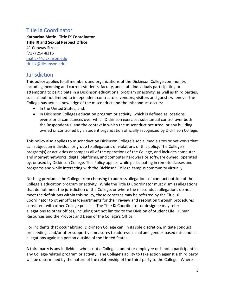# <span id="page-5-0"></span>Title IX Coordinator

**Katharina Matic │Title IX Coordinator Title IX and Sexual Respect Office** 41 Conway Street (717) 254-8316 matick@dickinson.edu titleix@dickinson.edu

### <span id="page-5-1"></span>Jurisdiction

This policy applies to all members and organizations of the Dickinson College community, including incoming and current students, faculty, and staff, individuals participating or attempting to participate in a Dickinson educational program or activity, as well as third parties, such as but not limited to independent contractors, vendors, visitors and guests whenever the College has actual knowledge of the misconduct and the misconduct occurs:

- In the United States, and;
- In Dickinson Colleges education program or activity, which is defined as locations, events or circumstances over which Dickinson exercises substantial control over both the Respondent(s) and the context in which the misconduct occurred, or any building owned or controlled by a student organization officially recognized by Dickinson College.

This policy also applies to misconduct on Dickinson College's social media sites or networks that can subject an individual or group to allegations of violations of this policy. The College's program(s) or activities encompass all of the operations of the College, and includes computer and internet networks, digital platforms, and computer hardware or software owned, operated by, or used by Dickinson College. This Policy applies while participating in remote classes and programs and while interacting with the Dickinson College campus community virtually.

Nothing precludes the College from choosing to address allegations of conduct outside of the College's education program or activity. While the Title IX Coordinator must dismiss allegations that do not meet the jurisdiction of the College, or where the misconduct allegations do not meet the definitions within this policy, those concerns may be referred by the Title IX Coordinator to other offices/departments for their review and resolution through procedures consistent with other College policies. The Title IX Coordinator or designee may refer allegations to other offices, including but not limited to the Division of Student Life, Human Resources and the Provost and Dean of the College's Office.

For incidents that occur abroad, Dickinson College can, in its sole discretion, initiate conduct proceedings and/or offer supportive measures to address sexual and gender-based misconduct allegations against a person outside of the United States.

A third party is any individual who is not a College student or employee or is not a participant in any College-related program or activity. The College's ability to take action against a third party will be determined by the nature of the relationship of the third-party to the College. Where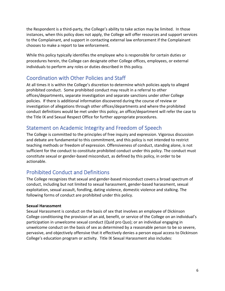the Respondent is a third-party, the College's ability to take action may be limited. In those instances, when this policy does not apply, the College will offer resources and support services to the Complainant, and support in contacting external law enforcement if the Complainant chooses to make a report to law enforcement.

While this policy typically identifies the employee who is responsible for certain duties or procedures herein, the College can designate other College offices, employees, or external individuals to perform any roles or duties described in this policy.

# <span id="page-6-0"></span>Coordination with Other Policies and Staff

At all times it is within the College's discretion to determine which policies apply to alleged prohibited conduct. Some prohibited conduct may result in a referral to other offices/departments, separate investigation and separate sanctions under other College policies. If there is additional information discovered during the course of review or investigation of allegations through other offices/departments and where the prohibited conduct definitions would be met under this policy, an office/department will refer the case to the Title IX and Sexual Respect Office for further appropriate procedures.

### <span id="page-6-1"></span>Statement on Academic Integrity and Freedom of Speech

The College is committed to the principles of free inquiry and expression. Vigorous discussion and debate are fundamental to this commitment, and this policy is not intended to restrict teaching methods or freedom of expression. Offensiveness of conduct, standing alone, is not sufficient for the conduct to constitute prohibited conduct under this policy. The conduct must constitute sexual or gender-based misconduct, as defined by this policy, in order to be actionable.

# <span id="page-6-2"></span>Prohibited Conduct and Definitions

The College recognizes that sexual and gender-based misconduct covers a broad spectrum of conduct, including but not limited to sexual harassment, gender-based harassment, sexual exploitation, sexual assault, fondling, dating violence, domestic violence and stalking. The following forms of conduct are prohibited under this policy.

### **Sexual Harassment**

Sexual Harassment is conduct on the basis of sex that involves an employee of Dickinson College conditioning the provision of an aid, benefit, or service of the College on an individual's participation in unwelcome sexual conduct (Quid pro Quo); or an individual engaging in unwelcome conduct on the basis of sex as determined by a reasonable person to be so severe, pervasive, and objectively offensive that it effectively denies a person equal access to Dickinson College's education program or activity. Title IX Sexual Harassment also includes: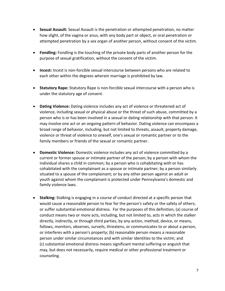- **Sexual Assault:** Sexual Assault is the penetration or attempted penetration, no matter how slight, of the vagina or anus, with any body part or object, or oral penetration or attempted penetration by a sex organ of another person, without consent of the victim.
- **Fondling:** Fondling is the touching of the private body parts of another person for the purpose of sexual gratification, without the consent of the victim.
- **Incest:** Incest is non-forcible sexual intercourse between persons who are related to each other within the degrees wherein marriage is prohibited by law.
- **Statutory Rape:** Statutory Rape is non-forcible sexual intercourse with a person who is under the statutory age of consent.
- **Dating Violence:** Dating violence includes any act of violence or threatened act of violence, including sexual or physical abuse or the threat of such abuse, committed by a person who is or has been involved in a sexual or dating relationship with that person. It may involve one act or an ongoing pattern of behavior. Dating violence can encompass a broad range of behavior, including, but not limited to threats, assault, property damage, violence or threat of violence to oneself, one's sexual or romantic partner or to the family members or friends of the sexual or romantic partner.
- **Domestic Violence:** Domestic violence includes any act of violence committed by a current or former spouse or intimate partner of the person; by a person with whom the individual shares a child in common; by a person who is cohabitating with or has cohabitated with the complainant as a spouse or intimate partner; by a person similarly situated to a spouse of the complainant; or by any other person against an adult or youth against whom the complainant is protected under Pennsylvania's domestic and family violence laws.
- **Stalking:** Stalking is engaging in a course of conduct directed at a specific person that would cause a reasonable person to fear for the person's safety or the safety of others; or suffer substantial emotional distress. For the purposes of this definition, (a) course of conduct means two or more acts, including, but not limited to, acts in which the stalker directly, indirectly, or through third parties, by any action, method, device, or means, follows, monitors, observes, surveils, threatens, or communicates to or about a person, or interferes with a person's property; (b) reasonable person means a reasonable person under similar circumstances and with similar identities to the victim; and (c) substantial emotional distress means significant mental suffering or anguish that may, but does not necessarily, require medical or other professional treatment or counseling.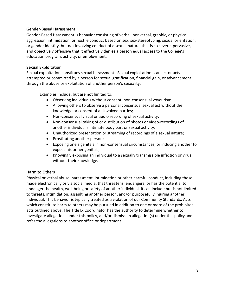#### **Gender-Based Harassment**

Gender-Based Harassment is behavior consisting of verbal, nonverbal, graphic, or physical aggression, intimidation, or hostile conduct based on sex, sex-stereotyping, sexual orientation, or gender identity, but not involving conduct of a sexual nature, that is so severe, pervasive, and objectively offensive that it effectively denies a person equal access to the College's education program, activity, or employment.

#### **Sexual Exploitation**

Sexual exploitation constitues sexual harassment. Sexual exploitation is an act or acts attempted or committed by a person for sexual gratification, financial gain, or advancement through the abuse or exploitation of another person's sexuality.

Examples include, but are not limited to:

- Observing individuals without consent, non-consensual voyeurism;
- Allowing others to observe a personal consensual sexual act without the knowledge or consent of all involved parties;
- Non-consensual visual or audio recording of sexual activity;
- Non-consensual taking of or distribution of photos or video-recordings of another individual's intimate body part or sexual activity;
- Unauthorized presentation or streaming of recordings of a sexual nature;
- Prostituting another person;
- Exposing one's genitals in non-consensual circumstances, or inducing another to expose his or her genitals;
- Knowingly exposing an individual to a sexually transmissible infection or virus without their knowledge.

### **Harm to Others**

Physical or verbal abuse, harassment, intimidation or other harmful conduct, including those made electronically or via social media, that threatens, endangers, or has the potential to endanger the health, well-being or safety of another individual. It can include but is not limited to threats, intimidation, assaulting another person, and/or purposefully injuring another individual. This behavior is typically treated as a violation of our [Community Standards.](https://www.dickinson.edu/download/downloads/id/963/community_standards.pdf) Acts which constitute harm to others may be pursued in addition to one or more of the prohibited acts outlined above. The Title IX Coordinator has the authority to determine whether to investigate allegations under this policy, and/or dismiss an allegation(s) under this policy and refer the allegations to another office or department.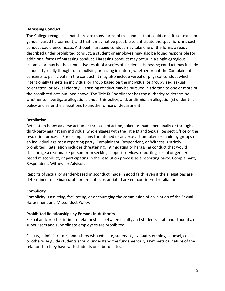#### **Harassing Conduct**

The College recognizes that there are many forms of misconduct that could constitute sexual or gender-based harassment, and that it may not be possible to anticipate the specific forms such conduct could encompass. Although harassing conduct may take one of the forms already described under prohibited conduct, a student or employee may also be found responsible for additional forms of harassing conduct. Harassing conduct may occur in a single egregious instance or may be the cumulative result of a series of incidents. Harassing conduct may include conduct typically thought of as bullying or hazing in nature, whether or not the Complainant consents to participate in the conduct. It may also include verbal or physical conduct which intentionally targets an individual or group based on the individual or group's sex, sexual orientation, or sexual identity. Harassing conduct may be pursued in addition to one or more of the prohibited acts outlined above. The Title IX Coordinator has the authority to determine whether to investigate allegations under this policy, and/or dismiss an allegation(s) under this policy and refer the allegations to another office or department.

#### **Retaliation**

Retaliation is any adverse action or threatened action, taken or made, personally or through a third-party against any individual who engages with the Title IX and Sexual Respect Office or the resolution process. For example, any threatened or adverse action taken or made by groups or an individual against a reporting party, Complainant, Respondent, or Witness is strictly prohibited. Retaliation includes threatening, intimidating or harassing conduct that would discourage a reasonable person from seeking support services, reporting sexual or genderbased misconduct, or participating in the resolution process as a reporting party, Complainant, Respondent, Witness or Advisor.

Reports of sexual or gender-based misconduct made in good faith, even if the allegations are determined to be inaccurate or are not substantiated are not considered retaliation.

### **Complicity**

Complicity is assisting, facilitating, or encouraging the commission of a violation of the Sexual Harassment and Misconduct Policy.

#### <span id="page-9-0"></span>**Prohibited Relationships by Persons in Authority**

Sexual and/or other intimate relationships between faculty and students, staff and students, or supervisors and subordinate employees are prohibited.

Faculty, administrators, and others who educate, supervise, evaluate, employ, counsel, coach or otherwise guide students should understand the fundamentally asymmetrical nature of the relationship they have with students or subordinates.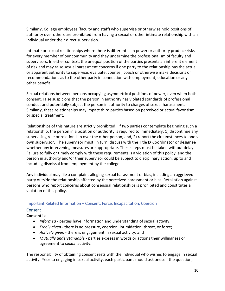Similarly, College employees (faculty and staff) who supervise or otherwise hold positions of authority over others are prohibited from having a sexual or other intimate relationship with an individual under their direct supervision.

Intimate or sexual relationships where there is differential in power or authority produce risks for every member of our community and they undermine the professionalism of faculty and supervisors. In either context, the unequal position of the parties presents an inherent element of risk and may raise sexual harassment concerns if one party to the relationship has the actual or apparent authority to supervise, evaluate, counsel, coach or otherwise make decisions or recommendations as to the other party in connection with employment, education or any other benefit.

Sexual relations between persons occupying asymmetrical positions of power, even when both consent, raise suspicions that the person in authority has violated standards of professional conduct and potentially subject the person in authority to charges of sexual harassment. Similarly, these relationships may impact third parties based on perceived or actual favoritism or special treatment.

Relationships of this nature are strictly prohibited. If two parties contemplate beginning such a relationship, the person in a position of authority is required to immediately: 1) discontinue any supervising role or relationship over the other person; and, 2) report the circumstances to one's own supervisor. The supervisor must, in turn, discuss with the Title IX Coordinator or designee whether any intervening measures are appropriate. These steps must be taken without delay. Failure to fully or timely comply with these requirements is a violation of this policy, and the person in authority and/or their supervisor could be subject to disciplinary action, up to and including dismissal from employment by the college.

Any individual may file a complaint alleging sexual harassment or bias, including an aggrieved party outside the relationship affected by the perceived harassment or bias. Retaliation against persons who report concerns about consensual relationships is prohibited and constitutes a violation of this policy.

### <span id="page-10-0"></span>Important Related Information – Consent, Force, Incapacitation, Coercion

### <span id="page-10-1"></span>**Consent**

### **Consent is:**

- *Informed* parties have information and understanding of sexual activity;
- *Freely given* there is no pressure, coercion, intimidation, threat, or force;
- *Actively given* there is engagement in sexual activity; and
- *Mutually understandable* parties express in words or actions their willingness or agreement to sexual activity.

The responsibility of obtaining consent rests with the individual who wishes to engage in sexual activity. Prior to engaging in sexual activity, each participant should ask oneself the question,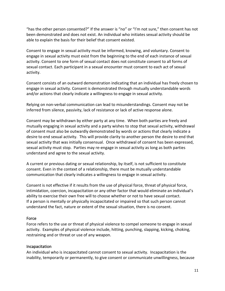"has the other person consented?" If the answer is "no" or "I'm not sure," then consent has not been demonstrated and does not exist. An individual who initiates sexual activity should be able to explain the basis for their belief that consent existed.

Consent to engage in sexual activity must be informed, knowing, and voluntary. Consent to engage in sexual activity must exist from the beginning to the end of each instance of sexual activity. Consent to one form of sexual contact does not constitute consent to all forms of sexual contact. Each participant in a sexual encounter must consent to each act of sexual activity.

Consent consists of an outward demonstration indicating that an individual has freely chosen to engage in sexual activity. Consent is demonstrated through mutually understandable words and/or actions that clearly indicate a willingness to engage in sexual activity.

Relying on non-verbal communication can lead to misunderstandings. Consent may not be inferred from silence, passivity, lack of resistance or lack of active response alone.

Consent may be withdrawn by either party at any time. When both parties are freely and mutually engaging in sexual activity and a party wishes to stop that sexual activity, withdrawal of consent must also be outwardly demonstrated by words or actions that clearly indicate a desire to end sexual activity. This will provide clarity to another person the desire to end that sexual activity that was initially consensual. Once withdrawal of consent has been expressed, sexual activity must stop. Parties may re-engage in sexual activity as long as both parties understand and agree to the sexual activity.

A current or previous dating or sexual relationship, by itself, is not sufficient to constitute consent. Even in the context of a relationship, there must be mutually understandable communication that clearly indicates a willingness to engage in sexual activity.

Consent is not effective if it results from the use of physical force, threat of physical force, intimidation, coercion, incapacitation or any other factor that would eliminate an individual's ability to exercise their own free will to choose whether or not to have sexual contact. If a person is mentally or physically incapacitated or impaired so that such person cannot understand the fact, nature or extent of the sexual situation, there is no consent.

### <span id="page-11-0"></span>Force

Force refers to the use or threat of physical violence to compel someone to engage in sexual activity. Examples of physical violence include, hitting, punching, slapping, kicking, choking, restraining and or threat or use of any weapon.

### <span id="page-11-1"></span>Incapacitation

An individual who is incapacitated cannot consent to sexual activity. Incapacitation is the inability, temporarily or permanently, to give consent or communicate unwillingness, because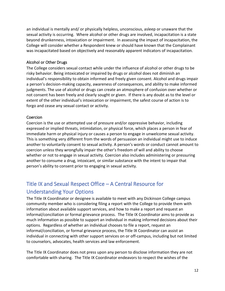an individual is mentally and/ or physically helpless, unconscious, asleep or unaware that the sexual activity is occurring. Where alcohol or other drugs are involved, incapacitation is a state beyond drunkenness, intoxication or impairment. In assessing the impact of incapacitation, the College will consider whether a Respondent knew or should have known that the Complainant was incapacitated based on objectively and reasonably apparent indicators of incapacitation.

### <span id="page-12-0"></span>Alcohol or Other Drugs

The College considers sexual contact while under the influence of alcohol or other drugs to be risky behavior. Being intoxicated or impaired by drugs or alcohol does not diminish an individual's responsibility to obtain informed and freely given consent. Alcohol and drugs impair a person's decision-making capacity, awareness of consequences, and ability to make informed judgments. The use of alcohol or drugs can create an atmosphere of confusion over whether or not consent has been freely and clearly sought or given. If there is any doubt as to the level or extent of the other individual's intoxication or impairment, the safest course of action is to forgo and cease any sexual contact or activity.

### <span id="page-12-1"></span>Coercion

Coercion is the use or attempted use of pressure and/or oppressive behavior, including expressed or implied threats, intimidation, or physical force, which places a person in fear of immediate harm or physical injury or causes a person to engage in unwelcome sexual activity. This is something very different from the words of persuasion an individual might use to induce another to voluntarily consent to sexual activity. A person's words or conduct cannot amount to coercion unless they wrongfully impair the other's freedom of will and ability to choose whether or not to engage in sexual activity. Coercion also includes administering or pressuring another to consume a drug, intoxicant, or similar substance with the intent to impair that person's ability to consent prior to engaging in sexual activity.

# <span id="page-12-2"></span>Title IX and Sexual Respect Office – A Central Resource for Understanding Your Options

The Title IX Coordinator or designee is available to meet with any Dickinson College campus community member who is considering filing a report with the College to provide them with information about available support services, and how to make a report and request an informal/conciliation or formal grievance process. The Title IX Coordinator aims to provide as much information as possible to support an individual in making informed decisions about their options. Regardless of whether an individual chooses to file a report, request an informal/conciliation, or formal grievance process, the Title IX Coordinator can assist an individual in connecting with other support services on or off-campus, including but not limited to counselors, advocates, health services and law enforcement.

The Title IX Coordinator does not press upon any person to disclose information they are not comfortable with sharing. The Title IX Coordinator endeavors to respect the wishes of the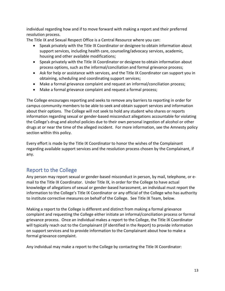individual regarding how and if to move forward with making a report and their preferred resolution process.

The Title IX and Sexual Respect Office is a Central Resource where you can:

- Speak privately with the Title IX Coordinator or designee to obtain information about support services, including health care, counseling/advocacy services, academic, housing and other available modifications;
- Speak privately with the Title IX Coordinator or designee to obtain information about process options, such as the informal/conciliation and formal grievance process;
- Ask for help or assistance with services, and the Title IX Coordinator can support you in obtaining, scheduling and coordinating support services;
- Make a formal grievance complaint and request an informal/conciliation process;
- Make a formal grievance complaint and request a formal process;

The College encourages reporting and seeks to remove any barriers to reporting in order for campus community members to be able to seek and obtain support services and information about their options. The College will not seek to hold any student who shares or reports information regarding sexual or gender-based misconduct allegations accountable for violating the College's drug and alcohol policies due to their own personal ingestion of alcohol or other drugs at or near the time of the alleged incident. For more information, see the Amnesty policy section within this policy.

Every effort is made by the Title IX Coordinator to honor the wishes of the Complainant regarding available support services and the resolution process chosen by the Complainant, if any.

# <span id="page-13-0"></span>Report to the College

Any person may report sexual or gender-based misconduct in person, by mail, telephone, or email to the Title IX Coordinator. Under Title IX, in order for the College to have actual knowledge of allegations of sexual or gender-based harassment, an individual must report the information to the College's Title IX Coordinator or any official of the College who has authority to institute corrective measures on behalf of the College. See Title IX Team, below.

Making a report to the College is different and distinct from making a formal grievance complaint and requesting the College either initiate an informal/conciliation process or formal grievance process. Once an individual makes a report to the College, the Title IX Coordinator will typically reach out to the Complainant (if identified in the Report) to provide information on support services and to provide information to the Complainant about how to make a formal grievance complaint.

Any individual may make a report to the College by contacting the Title IX Coordinator: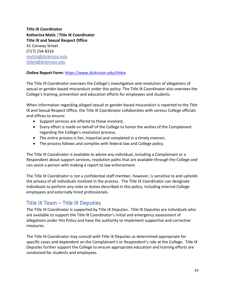<span id="page-14-0"></span>**Title IX Coordinator Katharina Matic │Title IX Coordinator Title IX and Sexual Respect Office** 41 Conway Street (717) 254-8316 [matick@dickinson.edu](mailto:matick@dickinson.edu) [titleix@dickinson.edu](mailto:titleix@dickinson.edu)

### **Online Report Form:** <https://www.dickinson.edu/titleix>

The Title IX Coordinator oversees the College's investigation and resolution of allegations of sexual or gender-based misconduct under this policy. The Title IX Coordinator also oversees the College's training, prevention and education efforts for employees and students.

When information regarding alleged sexual or gender-based misconduct is reported to the Title IX and Sexual Respect Office, the Title IX Coordinator collaborates with various College officials and offices to ensure:

- Support services are offered to those involved;
- Every effort is made on behalf of the College to honor the wishes of the Complainant regarding the College's resolution process;
- The entire process is fair, impartial and completed in a timely manner;
- The process follows and complies with federal law and College policy.

The Title IX Coordinator is available to advise any individual, including a Complainant or a Respondent about support services, resolution paths that are available through the College and can assist a person with making a report to law enforcement.

The Title IX Coordinator is not a confidential staff member, however, is sensitive to and upholds the privacy of all individuals involved in the process. The Title IX Coordinator can designate individuals to perform any roles or duties described in this policy, including internal College employees and externally hired professionals.

### <span id="page-14-1"></span>Title IX Team – Title IX Deputies

The Title IX Coordinator is supported by Title IX Deputies. Title IX Deputies are individuals who are available to support the Title IX Coordinator's initial and emergency assessment of allegations under this Policy and have the authority to implement supportive and corrective measures.

The Title IX Coordinator may consult with Title IX Deputies as determined appropriate for specific cases and dependent on the Complainant's or Respondent's role at the College. Title IX Deputies further support the College to ensure appropriate education and training efforts are conducted for students and employees.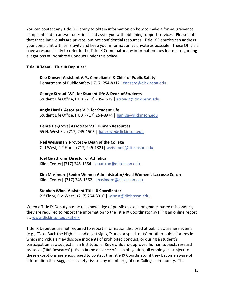You can contact any Title IX Deputy to obtain information on how to make a formal grievance complaint and to answer questions and assist you with obtaining support services. Please note that these individuals are private, but not confidential resources. Title IX Deputies can address your complaint with sensitivity and keep your information as private as possible. These Officials have a responsibility to refer to the Title IX Coordinator any information they learn of regarding allegations of Prohibited Conduct under this policy.

### **Title IX Team – Title IX Deputies:**

**Dee Danser│Assistant V.P., Compliance & Chief of Public Safety** Department of Public Safety | (717) 254-8317 | danserd@dickinson.edu

**George Stroud│V.P. for Student Life & Dean of Students** Student Life Office, HUB│(717) 245-1639 │ stroudg@dickinson.edu

**Angie Harris|Associate V.P. for Student Life** Student Life Office, HUB│(717) 254-8974 │ harrisa@dickinson.edu

**Debra Hargrove│Associate V.P. Human Resources** 55 N. West St.│(717) 245-1503 │ [hargrove@dickinson.edu](mailto:hargrove@dickinson.edu) 

**Neil Weissman│Provost & Dean of the College** Old West, 2nd Floor│(717) 245-1321│ weissmne@dickinson.edu

**Joel Quattrone│Director of Athletics** Kline Center│(717) 245-1364 │ quattron@dickinson.edu

**Kim Masimore│Senior Women Administrator/Head Women's Lacrosse Coach** Kline Center│ (717) 245-1662 │ [masimore@dickinson.edu](mailto:masimore@dickinson.edu)

### **Stephen Winn│Assistant Title IX Coordinator**

2nd Floor, Old West│ (717) 254-8316 │ [winnst@dickinson.edu](mailto:winnst@dickinson.edu)

When a Title IX Deputy has actual knowledge of possible sexual or gender-based misconduct, they are required to report the information to the Title IX Coordinator by filing an online report at: www.dickinson.edu/titleix.

Title IX Deputies are not required to report information disclosed at public awareness events (e.g., "Take Back the Night," candlelight vigils, "survivor speak-outs" or other public forums in which individuals may disclose incidents of prohibited conduct; or during a student's participation as a subject in an Institutional Review Board-approved human subjects research protocol ("IRB Research"). Even in the absence of such obligation, all employees subject to these exceptions are encouraged to contact the Title IX Coordinator if they become aware of information that suggests a safety risk to any member(s) of our College community. The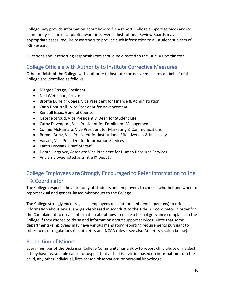College may provide information about how to file a report, College support services and/or community resources at public awareness events. Institutional Review Boards may, in appropriate cases, require researchers to provide such information to all student subjects of IRB Research.

Questions about reporting responsibilities should be directed to the Title IX Coordinator.

# <span id="page-16-0"></span>College Officials with Authority to institute Corrective Measures

Other officials of the College with authority to institute corrective measures on behalf of the College are identified as follows:

- Margee Ensign, President
- Neil Weissman, Provost
- Bronte Burleigh-Jones, Vice President for Finance & Administration
- Carlo Robustelli, Vice President for Advancement
- Kendall Isaac, General Counsel
- George Stroud, Vice President & Dean for Student Life
- Cathy Davenport, Vice President for Enrollment Management
- Connie McNamara, Vice President for Marketing & Communications
- Brenda Bretz, Vice President for Institutional Effectiveness & Inclusivity
- Vacant, Vice President for Information Services
- Karen Faryniak, Chief of Staff
- Debra Hargrove, Associate Vice President for Human Resource Services
- Any employee listed as a Title IX Deputy

# <span id="page-16-1"></span>College Employees are Strongly Encouraged to Refer Information to the TIX Coordinator

The College respects the autonomy of students and employees to choose whether and when to report sexual and gender-based misconduct to the College.

The College strongly encourages all employees (except for confidential persons) to refer information about sexual and gender-based misconduct to the Title IX Coordinator in order for the Complainant to obtain information about how to make a formal grievance complaint to the College if they choose to do so and information about support services. Note that some departments/employees may have various mandatory reporting requirements pursuant to other rules or regulations (i.e. athletics and NCAA rules – see also Athletics section below).

### <span id="page-16-2"></span>Protection of Minors

Every member of the Dickinson College Community has a duty to report child abuse or neglect if they have reasonable cause to suspect that a child is a victim based on information from the child, any other individual, first-person observations or personal knowledge.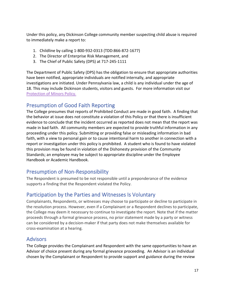Under this policy, any Dickinson College community member suspecting child abuse is required to immediately make a report to:

- 1. Childline by calling 1-800-932-0313 (TDD:866-872-1677)
- 2. The Director of Enterprise Risk Management, and
- 3. The Chief of Public Safety (DPS) at 717-245-1111

The Department of Public Safety (DPS) has the obligation to ensure that appropriate authorities have been notified, appropriate individuals are notified internally, and appropriate investigations are initiated. Under Pennsylvania law, a child is any individual under the age of 18. This may include Dickinson students, visitors and guests. For more information visit our [Protection of Minors Policy.](https://www.dickinson.edu/download/downloads/id/8393/protection_of_minor.pdf) 

### <span id="page-17-0"></span>Presumption of Good Faith Reporting

The College presumes that reports of Prohibited Conduct are made in good faith. A finding that the behavior at issue does not constitute a violation of this Policy or that there is insufficient evidence to conclude that the incident occurred as reported does not mean that the report was made in bad faith. All community members are expected to provide truthful information in any proceeding under this policy. Submitting or providing false or misleading information in bad faith, with a view to personal gain or to cause intentional harm to another in connection with a report or investigation under this policy is prohibited. A student who is found to have violated this provision may be found in violation of the Dishonesty provision of the Community Standards; an employee may be subject to appropriate discipline under the Employee Handbook or Academic Handbook.

### <span id="page-17-1"></span>Presumption of Non-Responsibility

The Respondent is presumed to be not responsible until a preponderance of the evidence supports a finding that the Respondent violated the Policy.

### <span id="page-17-2"></span>Participation by the Parties and Witnesses Is Voluntary

Complainants, Respondents, or witnesses may choose to participate or decline to participate in the resolution process. However, even if a Complainant or a Respondent declines to participate, the College may deem it necessary to continue to investigate the report. Note that if the matter proceeds through a formal grievance process, no prior statement made by a party or witness can be considered by a decision-maker if that party does not make themselves available for cross-examination at a hearing.

### <span id="page-17-3"></span>Advisors

The College provides the Complainant and Respondent with the same opportunities to have an Advisor of choice present during any formal grievance proceeding. An Advisor is an individual chosen by the Complainant or Respondent to provide support and guidance during the review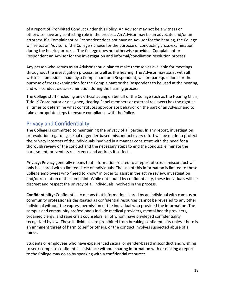of a report of Prohibited Conduct under this Policy. An Advisor may not be a witness or otherwise have any conflicting role in the process. An Advisor may be an advocate and/or an attorney. If a Complainant or Respondent does not have an Advisor for the hearing, the College will select an Advisor of the College's choice for the purpose of conducting cross-examination during the hearing process. The College does not otherwise provide a Complainant or Respondent an Advisor for the investigation and informal/conciliation resolution process.

Any person who serves as an Advisor should plan to make themselves available for meetings throughout the investigation process, as well as the hearing. The Advisor may assist with all written submissions made by a Complainant or a Respondent, will prepare questions for the purpose of cross-examination for the Complainant or the Respondent to be used at the hearing, and will conduct cross-examination during the hearing process.

The College staff (including any official acting on behalf of the College such as the Hearing Chair, Title IX Coordinator or designee, Hearing Panel members or external reviewer) has the right at all times to determine what constitutes appropriate behavior on the part of an Advisor and to take appropriate steps to ensure compliance with the Policy.

# <span id="page-18-0"></span>Privacy and Confidentiality

The College is committed to maintaining the privacy of all parties. In any report, investigation, or resolution regarding sexual or gender-based misconduct every effort will be made to protect the privacy interests of the individuals involved in a manner consistent with the need for a thorough review of the conduct and the necessary steps to end the conduct, eliminate the harassment, prevent its recurrence and address its effects.

**Privacy:** Privacy generally means that information related to a report of sexual misconduct will only be shared with a limited circle of individuals. The use of this information is limited to those College employees who "need to know" in order to assist in the active review, investigation and/or resolution of the complaint. While not bound by confidentiality, these individuals will be discreet and respect the privacy of all individuals involved in the process.

**Confidentiality:** Confidentiality means that information shared by an individual with campus or community professionals designated as confidential resources cannot be revealed to any other individual without the express permission of the individual who provided the information. The campus and community professionals include medical providers, mental health providers, ordained clergy, and rape crisis counselors, all of whom have privileged confidentiality recognized by law. These individuals are prohibited from breaking confidentiality unless there is an imminent threat of harm to self or others, or the conduct involves suspected abuse of a minor.

Students or employees who have experienced sexual or gender-based misconduct and wishing to seek complete confidential assistance without sharing information with or making a report to the College may do so by speaking with a confidential resource: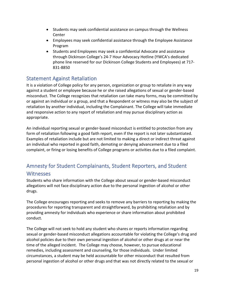- Students may seek confidential assistance on campus through the Wellness Center
- Employees may seek confidential assistance through the Employee Assistance Program
- Students and Employees may seek a confidential Advocate and assistance through Dickinson College's 24-7 Hour Advocacy Hotline (YWCA's dedicated phone line reserved for our Dickinson College Students and Employees) at 717- 831-8850

# <span id="page-19-0"></span>Statement Against Retaliation

It is a violation of College policy for any person, organization or group to retaliate in any way against a student or employee because he or she raised allegations of sexual or gender-based misconduct. The College recognizes that retaliation can take many forms, may be committed by or against an individual or a group, and that a Respondent or witness may also be the subject of retaliation by another individual, including the Complainant. The College will take immediate and responsive action to any report of retaliation and may pursue disciplinary action as appropriate.

An individual reporting sexual or gender-based misconduct is entitled to protection from any form of retaliation following a good faith report, even if the report is not later substantiated. Examples of retaliation include but are not limited to making a direct or indirect threat against an individual who reported in good faith, demoting or denying advancement due to a filed complaint, or firing or losing benefits of College programs or activities due to a filed complaint.

# <span id="page-19-1"></span>Amnesty for Student Complainants, Student Reporters, and Student **Witnesses**

Students who share information with the College about sexual or gender-based misconduct allegations will not face disciplinary action due to the personal ingestion of alcohol or other drugs.

The College encourages reporting and seeks to remove any barriers to reporting by making the procedures for reporting transparent and straightforward, by prohibiting retaliation and by providing amnesty for individuals who experience or share information about prohibited conduct.

The College will not seek to hold any student who shares or reports information regarding sexual or gender-based misconduct allegations accountable for violating the College's drug and alcohol policies due to their own personal ingestion of alcohol or other drugs at or near the time of the alleged incident. The College may choose, however, to pursue educational remedies, including assessment and counseling, for those individuals. Under limited circumstances, a student may be held accountable for other misconduct that resulted from personal ingestion of alcohol or other drugs and that was not directly related to the sexual or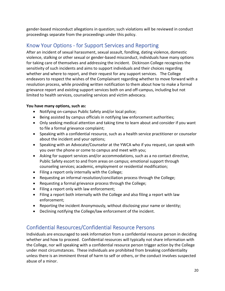gender-based misconduct allegations in question; such violations will be reviewed in conduct proceedings separate from the proceedings under this policy.

# <span id="page-20-0"></span>Know Your Options - for Support Services and Reporting

After an incident of sexual harassment, sexual assault, fondling, dating violence, domestic violence, stalking or other sexual or gender-based misconduct, individuals have many options for taking care of themselves and addressing the incident. Dickinson College recognizes the sensitivity of such incidents and aims to support individuals and their choices regarding whether and where to report, and their request for any support services. The College endeavors to respect the wishes of the Complainant regarding whether to move forward with a resolution process, while providing written notification to them about how to make a formal grievance report and existing support services both on and off-campus, including but not limited to health services, counseling services and victim advocacy.

### **You have many options, such as:**

- Notifying on-campus Public Safety and/or local police;
- Being assisted by campus officials in notifying law enforcement authorities;
- Only seeking medical attention and taking time to learn about and consider if you want to file a formal grievance complaint;
- Speaking with a confidential resource, such as a health service practitioner or counselor about the incident and your options;
- Speaking with an Advocate/Counselor at the YWCA who if you request, can speak with you over the phone or come to campus and meet with you;
- Asking for support services and/or accommodations, such as a no contact directive, Public Safety escort to and from areas on campus; emotional support through counseling services; academic, employment or residential modification;
- Filing a report only internally with the College;
- Requesting an informal resolution/conciliation process through the College;
- Requesting a formal grievance process through the College;
- Filing a report only with law enforcement;
- Filing a report both internally with the College and also filing a report with law enforcement;
- Reporting the incident Anonymously, without disclosing your name or identity;
- Declining notifying the College/law enforcement of the incident.

# <span id="page-20-1"></span>Confidential Resources/Confidential Resource Persons

Individuals are encouraged to seek information from a confidential resource person in deciding whether and how to proceed. Confidential resources will typically not share information with the College, nor will speaking with a confidential resource person trigger action by the College under most circumstances. These individuals are prohibited from breaking confidentiality unless there is an imminent threat of harm to self or others, or the conduct involves suspected abuse of a minor.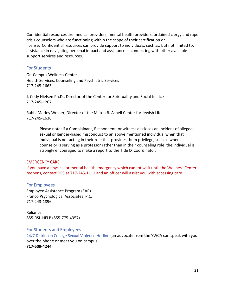Confidential resources are medical providers, mental health providers, ordained clergy and rape crisis counselors who are functioning within the scope of their certification or license. Confidential resources can provide support to individuals, such as, but not limited to, assistance in navigating personal impact and assistance in connecting with other available support services and resources.

### <span id="page-21-0"></span>For Students

#### <span id="page-21-1"></span>[On-Campus Wellness Center](https://jadudev.dickinson.edu/homepage/1186/title_ix_support_and_resources)

Health Services, Counseling and Psychiatric Services 717-245-1663

J. Cody Nielsen Ph.D., Director of the Center for Spirituality and Social Justice 717-245-1267

Rabbi Marley Weiner, Director of the Milton B. Asbell Center for Jewish Life 717-245-1636

Please note: if a Complainant, Respondent, or witness discloses an incident of alleged sexual or gender-based misconduct to an above mentioned individual when that individual is not acting in their role that provides them privilege, such as when a counselor is serving as a professor rather than in their counseling role, the individual is strongly encouraged to make a report to the Title IX Coordinator.

### EMERGENCY CARE

If you have a physical or mental health emergency which cannot wait until the Wellness Center reopens, contact DPS at 717-245-1111 and an officer will assist you with accessing care.

### <span id="page-21-2"></span>For Employees

Employee Assistance Program (EAP) Franco Psychological Associates, P.C. 717-243-1896

Reliance 855-RSL-HELP (855-775-4357)

#### <span id="page-21-3"></span>For Students and Employees

<span id="page-21-4"></span>24/7 Dickinson College Sexual Violence Hotline (an advocate from the YWCA can speak with you over the phone or meet you on campus) **717-609-4244**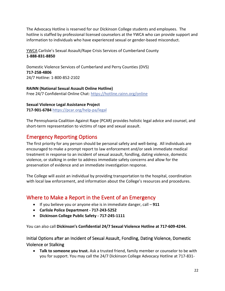The Advocacy Hotline is reserved for our Dickinson College students and employees. The hotline is staffed by professional licensed counselors at the YWCA who can provide support and information to individuals who have experienced sexual or gender-based misconduct.

[YWCA](https://jadudev.dickinson.edu/homepage/1186/title_ix_support_and_resources) Carlisle's Sexual Assault/Rape Crisis Services of Cumberland County **1-888-831-8850**

Domestic Violence Services of Cumberland and Perry Counties (DVS) **717-258-4806** 24/7 Hotline: 1-800-852-2102

**RAINN (National Sexual Assault Online Hotline)** Free 24/7 Confidential Online Chat:<https://hotline.rainn.org/online>

**Sexual Violence Legal Assistance Project 717-901-6784** <https://pcar.org/help-pa/legal>

The Pennsylvania Coalition Against Rape (PCAR) provides holistic legal advice and counsel, and short-term representation to victims of rape and sexual assault.

# <span id="page-22-0"></span>Emergency Reporting Options

The first priority for any person should be personal safety and well-being. All individuals are encouraged to make a prompt report to law enforcement and/or seek immediate medical treatment in response to an incident of sexual assault, fondling, dating violence, domestic violence, or stalking in order to address immediate safety concerns and allow for the preservation of evidence and an immediate investigation response.

The College will assist an individual by providing transportation to the hospital, coordination with local law enforcement, and information about the College's resources and procedures.

# <span id="page-22-1"></span>Where to Make a Report in the Event of an Emergency

- If you believe you or anyone else is in immediate danger, call **911**
- **Carlisle Police Department - 717-243-5252**
- **Dickinson College Public Safety - 717-245-1111**

You can also call **Dickinson's Confidential 24/7 Sexual Violence Hotline at 717-609-4244.**

### <span id="page-22-2"></span>Initial Options after an Incident of Sexual Assault, Fondling, Dating Violence, Domestic Violence or Stalking

• **Talk to someone you trust.** Ask a trusted friend, family member or counselor to be with you for support. You may call the 24/7 Dickinson College Advocacy Hotline at 717-831-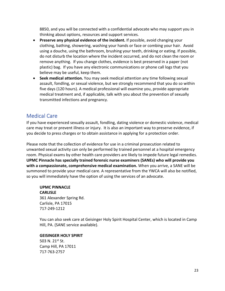8850, and you will be connected with a confidential advocate who may support you in thinking about options, resources and support services.

- **Preserve any physical evidence of the incident.** If possible, avoid changing your clothing, bathing, showering, washing your hands or face or combing your hair. Avoid using a douche, using the bathroom, brushing your teeth, drinking or eating. If possible, do not disturb the location where the incident occurred, and do not clean the room or remove anything. If you change clothes, evidence is best preserved in a paper (not plastic) bag. If you have any electronic communications or phone call logs that you believe may be useful, keep them.
- **Seek medical attention.** You may seek medical attention any time following sexual assault, fondling, or sexual violence, but we strongly recommend that you do so within five days (120 hours). A medical professional will examine you, provide appropriate medical treatment and, if applicable, talk with you about the prevention of sexually transmitted infections and pregnancy.

# <span id="page-23-0"></span>Medical Care

If you have experienced sexually assault, fondling, dating violence or domestic violence, medical care may treat or prevent illness or injury. It is also an important way to preserve evidence, if you decide to press charges or to obtain assistance in applying for a protection order.

Please note that the collection of evidence for use in a criminal prosecution related to unwanted sexual activity can only be performed by trained personnel at a hospital emergency room. Physical exams by other health care providers are likely to impede future legal remedies. **UPMC Pinnacle has specially trained forensic nurse examiners (SANEs) who will provide you with a compassionate, comprehensive medical examination.** When you arrive, a SANE will be summoned to provide your medical care. A representative from the YWCA will also be notified, so you will immediately have the option of using the services of an advocate.

**UPMC PINNACLE CARLISLE** 361 Alexander Spring Rd. Carlisle, PA 17015 717-249-1212

You can also seek care at Geisinger Holy Spirit Hospital Center, which is located in Camp Hill, PA. (SANE service available).

**GEISINGER HOLY SPIRIT** 503 N. 21st St. Camp Hill, PA 17011

717-763-2757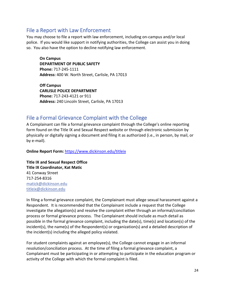### <span id="page-24-0"></span>File a Report with Law Enforcement

You may choose to file a report with law enforcement, including on-campus and/or local police. If you would like support in notifying authorities, the College can assist you in doing so. You also have the option to decline notifying law enforcement.

<span id="page-24-2"></span><span id="page-24-1"></span>**On Campus DEPARTMENT OF PUBLIC SAFETY Phone:** 717-245-1111 **Address:** 400 W. North Street, Carlisle, PA 17013

<span id="page-24-4"></span><span id="page-24-3"></span>**Off Campus CARLISLE POLICE DEPARTMENT Phone:** 717-243-4121 or 911 **Address:** 240 Lincoln Street, Carlisle, PA 17013

### <span id="page-24-5"></span>File a Formal Grievance Complaint with the College

A Complainant can file a formal grievance complaint through the College's online reporting form found on the Title IX and Sexual Respect website or through electronic submission by physically or digitally signing a document and filing it as authorized (i.e., in person, by mail, or by e-mail).

**Online Report Form:** <https://www.dickinson.edu/titleix>

**Title IX and Sexual Respect Office Title IX Coordinator, Kat Matic** 41 Conway Street 717-254-8316 matick@dickinson.edu [titleix@dickinson.edu](mailto:titleix@dickinson.edu)

In filing a formal grievance complaint, the Complainant must allege sexual harassment against a Respondent. It is recommended that the Complainant include a request that the College investigate the allegation(s) and resolve the complaint either through an informal/conciliation process or formal grievance process. The Complainant should include as much detail as possible in the formal grievance complaint, including the date(s), time(s) and location(s) of the incident(s), the name(s) of the Respondent(s) or organization(s) and a detailed description of the incident(s) including the alleged policy violated.

For student complaints against an employee(s), the College cannot engage in an informal resolution/conciliation process. At the time of filing a formal grievance complaint, a Complainant must be participating in or attempting to participate in the education program or activity of the College with which the formal complaint is filed.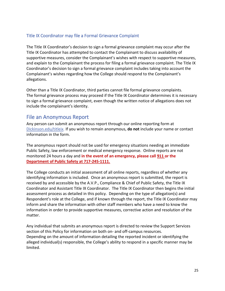### <span id="page-25-0"></span>Title IX Coordinator may file a Formal Grievance Complaint

The Title IX Coordinator's decision to sign a formal grievance complaint may occur after the Title IX Coordinator has attempted to contact the Complainant to discuss availability of supportive measures, consider the Complainant's wishes with respect to supportive measures, and explain to the Complainant the process for filing a formal grievance complaint. The Title IX Coordinator's decision to sign a formal grievance complaint includes taking into account the Complainant's wishes regarding how the College should respond to the Complainant's allegations.

Other than a Title IX Coordinator, third parties cannot file formal grievance complaints. The formal grievance process may proceed if the Title IX Coordinator determines it is necessary to sign a formal grievance complaint, even though the written notice of allegations does not include the complainant's identity.

### <span id="page-25-1"></span>File an Anonymous Report

Any person can submit an anonymous report through our online reporting form at Dickinson.edu/titleix. If you wish to remain anonymous, **do not** include your name or contact information in the form.

The anonymous report should not be used for emergency situations needing an immediate Public Safety, law enforcement or medical emergency response. Online reports are not monitored 24 hours a day and **in the event of an emergency, please call 911 or the Department of Public Safety at 717-245-1111.** 

The College conducts an initial assessment of all online reports, regardless of whether any identifying information is included. Once an anonymous report is submitted, the report is received by and accessible by the A.V.P., Compliance & Chief of Public Safety, the Title IX Coordinator and Assistant Title IX Coordinator. The Title IX Coordinator then begins the initial assessment process as detailed in this policy. Depending on the type of allegation(s) and Respondent's role at the College, and if known through the report, the Title IX Coordinator may inform and share the information with other staff members who have a need to know the information in order to provide supportive measures, corrective action and resolution of the matter.

Any individual that submits an anonymous report is directed to review the Support Services section of this Policy for information on both on- and off-campus resources. Depending on the amount of information detailing the reported incident or identifying the alleged individual(s) responsible, the College's ability to respond in a specific manner may be limited.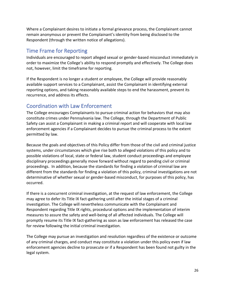Where a Complainant desires to initiate a formal grievance process, the Complainant cannot remain anonymous or prevent the Complainant's identity from being disclosed to the Respondent (through the written notice of allegations).

# <span id="page-26-0"></span>Time Frame for Reporting

Individuals are encouraged to report alleged sexual or gender-based misconduct immediately in order to maximize the College's ability to respond promptly and effectively. The College does not, however, limit the timeframe for reporting.

If the Respondent is no longer a student or employee, the College will provide reasonably available support services to a Complainant, assist the Complainant in identifying external reporting options, and taking reasonably available steps to end the harassment, prevent its recurrence, and address its effects.

# <span id="page-26-1"></span>Coordination with Law Enforcement

The College encourages Complainants to pursue criminal action for behaviors that may also constitute crimes under Pennsylvania law. The College, through the Department of Public Safety can assist a Complainant in making a criminal report and will cooperate with local law enforcement agencies if a Complainant decides to pursue the criminal process to the extent permitted by law.

Because the goals and objectives of this Policy differ from those of the civil and criminal justice systems, under circumstances which give rise both to alleged violations of this policy and to possible violations of local, state or federal law, student conduct proceedings and employee disciplinary proceedings generally move forward without regard to pending civil or criminal proceedings. In addition, because the standards for finding a violation of criminal law are different from the standards for finding a violation of this policy, criminal investigations are not determinative of whether sexual or gender-based misconduct, for purposes of this policy, has occurred.

If there is a concurrent criminal investigation, at the request of law enforcement, the College may agree to defer its Title IX fact-gathering until after the initial stages of a criminal investigation. The College will nevertheless communicate with the Complainant and Respondent regarding Title IX rights, procedural options and the implementation of interim measures to assure the safety and well-being of all affected individuals. The College will promptly resume its Title IX fact-gathering as soon as law enforcement has released the case for review following the initial criminal investigation.

The College may pursue an investigation and resolution regardless of the existence or outcome of any criminal charges, and conduct may constitute a violation under this policy even if law enforcement agencies decline to prosecute or if a Respondent has been found not guilty in the legal system.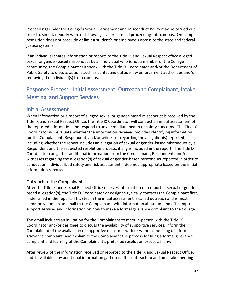Proceedings under the College's Sexual Harassment and Misconduct Policy may be carried out prior to, simultaneously with, or following civil or criminal proceedings off-campus. On-campus resolution does not preclude or limit a student's or employee's access to the state and federal justice systems.

If an individual shares information or reports to the Title IX and Sexual Respect office alleged sexual or gender-based misconduct by an individual who is not a member of the College community, the Complainant can speak with the Title IX Coordinator and/or the Department of Public Safety to discuss options such as contacting outside law enforcement authorities and/or removing the individual(s) from campus.

# Response Process - Initial Assessment, Outreach to Complainant, Intake Meeting, and Support Services

### <span id="page-27-0"></span>Initial Assessment

When information or a report of alleged sexual or gender-based misconduct is received by the Title IX and Sexual Respect Office, the Title IX Coordinator will conduct an initial assessment of the reported information and respond to any immediate health or safety concerns. The Title IX Coordinator will evaluate whether the information received provides identifying information for the Complainant, Respondent, and/or witnesses regarding the allegation(s) reported, including whether the report includes an allegation of sexual or gender-based misconduct by a Respondent and the requested resolution process, if any is included in the report. The Title IX Coordinator can gather additional information from the Complainant, Respondent, and/or witnesses regarding the allegation(s) of sexual or gender-based misconduct reported in order to conduct an individualized safety and risk assessment if deemed appropriate based on the initial information reported.

### <span id="page-27-1"></span>Outreach to the Complainant

After the Title IX and Sexual Respect Office receives information or a report of sexual or genderbased allegation(s), the Title IX Coordinator or designee typically contacts the Complainant first, if identified in the report. This step in the initial assessment is called outreach and is most commonly done in an email to the Complainant, with information about on- and off-campus support services and information on how to make a formal grievance complaint to the College.

The email includes an invitation for the Complainant to meet in-person with the Title IX Coordinator and/or designee to discuss the availability of supportive services, inform the Complainant of the availability of supportive measures with or without the filing of a formal grievance complaint, and explain to the Complainant the process for filing a formal grievance complaint and learning of the Complainant's preferred resolution process, if any.

After review of the information received or reported to the Title IX and Sexual Respect Office, and if available, any additional information gathered after outreach to and an intake meeting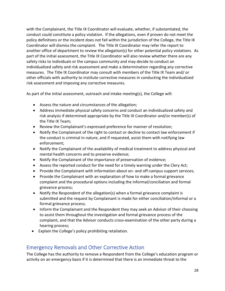with the Complainant, the Title IX Coordinator will evaluate, whether, if substantiated, the conduct could constitute a policy violation. If the allegations, even if proven do not meet the policy definitions or the incident does not fall within the jurisdiction of the College, the Title IX Coordinator will dismiss the complaint. The Title IX Coordinator may refer the report to another office of department to review the allegation(s) for other potential policy violations. As part of the initial assessment, the Title IX Coordinator will also review whether there are any safety risks to individuals or the campus community and may decide to conduct an individualized safety and risk assessment and make a determination regarding any corrective measures. The Title IX Coordinator may consult with members of the Title IX Team and/ or other officials with authority to institute corrective measures in conducting the individualized risk assessment and imposing any corrective measures.

As part of the initial assessment, outreach and intake meeting(s), the College will:

- Assess the nature and circumstances of the allegation;
- Address immediate physical safety concerns and conduct an individualized safety and risk analysis if determined appropriate by the Title IX Coordinator and/or member(s) of the Title IX Team;
- Review the Complainant's expressed preference for manner of resolution;
- Notify the Complainant of the right to contact or decline to contact law enforcement if the conduct is criminal in nature, and if requested, assist them with notifying law enforcement;
- Notify the Complainant of the availability of medical treatment to address physical and mental health concerns and to preserve evidence;
- Notify the Complainant of the importance of preservation of evidence;
- Assess the reported conduct for the need for a timely warning under the Clery Act;
- Provide the Complainant with information about on- and off-campus support services;
- Provide the Complainant with an explanation of how to make a formal grievance complaint and the procedural options including the informal/conciliation and formal grievance process;
- Notify the Respondent of the allegation(s) when a formal grievance complaint is submitted and the request by Complainant is made for either conciliation/informal or a formal grievance process;
- Inform the Complainant and the Respondent they may seek an Advisor of their choosing to assist them throughout the investigation and formal grievance process of the complaint, and that the Advisor conducts cross-examination of the other party during a hearing process;
- Explain the College's policy prohibiting retaliation.

# <span id="page-28-0"></span>Emergency Removals and Other Corrective Action

The College has the authority to remove a Respondent from the College's education program or activity on an emergency basis if it is determined that there is an immediate threat to the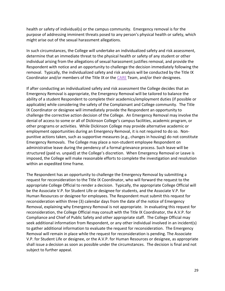health or safety of individual(s) or the campus community. Emergency removal is for the purpose of addressing imminent threats posed to any person's physical health or safety, which might arise out of the sexual harassment allegations.

In such circumstances, the College will undertake an individualized safety and risk assessment, determine that an immediate threat to the physical health or safety of any student or other individual arising from the allegations of sexual harassment justifies removal, and provide the Respondent with notice and an opportunity to challenge the decision immediately following the removal. Typically, the individualized safety and risk analysis will be conducted by the Title IX Coordinator and/or members of the Title IX or the [CARE](https://www.dickinson.edu/info/20226/student_life/3540/care_team) Team, and/or their designees.

If after conducting an individualized safety and risk assessment the College decides that an Emergency Removal is appropriate, the Emergency Removal will be tailored to balance the ability of a student Respondent to complete their academics/employment duties (if possible or applicable) while considering the safety of the Complainant and College community. The Title IX Coordinator or designee will immediately provide the Respondent an opportunity to challenge the corrective action decision of the College. An Emergency Removal may involve the denial of access to some or all of Dickinson College's campus facilities, academic program, or other programs or activities. While Dickinson College may provide alternative academic or employment opportunities during an Emergency Removal, it is not required to do so. Nonpunitive actions taken, such as supportive measures (e.g., changes in housing) do not constitute Emergency Removals. The College may place a non-student employee Respondent on administrative leave during the pendency of a formal grievance process. Such leave will be structured (paid vs. unpaid) at the College's discretion. When Emergency Removal or Leave is imposed, the College will make reasonable efforts to complete the investigation and resolution within an expedited time frame.

The Respondent has an opportunity to challenge the Emergency Removal by submitting a request for reconsideration to the Title IX Coordinator, who will forward the request to the appropriate College Official to render a decision. Typically, the appropriate College Official will be the Associate V.P. for Student Life or designee for students, and the Associate V.P. for Human Resources or designee for employees. The Respondent must submit this request for reconsideration within three (3) calendar days from the date of the notice of Emergency Removal, explaining why Emergency Removal is not appropriate. In evaluating this request for reconsideration, the College Official may consult with the Title IX Coordinator, the A.V.P. for Compliance and Chief of Public Safety and other appropriate staff. The College Official may seek additional information from Respondent, or any other individual involved in an incident(s) to gather additional information to evaluate the request for reconsideration. The Emergency Removal will remain in place while the request for reconsideration is pending. The Associate V.P. for Student Life or designee, or the A.V.P. for Human Resources or designee, as appropriate shall issue a decision as soon as possible under the circumstances. The decision is final and not subject to further appeal.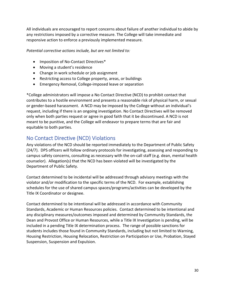All individuals are encouraged to report concerns about failure of another individual to abide by any restrictions imposed by a corrective measure. The College will take immediate and responsive action to enforce a previously implemented measure.

*Potential corrective actions include, but are not limited to:* 

- Imposition of No-Contact Directives\*
- Moving a student's residence
- Change in work schedule or job assignment
- Restricting access to College property, areas, or buildings
- Emergency Removal, College-imposed leave or separation

\*College administrators will impose a No Contact Directive (NCD) to prohibit contact that contributes to a hostile environment and presents a reasonable risk of physical harm, or sexual or gender-based harassment. A NCD may be imposed by the College without an individual's request, including if there is an ongoing investigation. No Contact Directives will be removed only when both parties request or agree in good faith that it be discontinued. A NCD is not meant to be punitive, and the College will endeavor to prepare terms that are fair and equitable to both parties.

### <span id="page-30-0"></span>No Contact Directive (NCD) Violations

Any violations of the NCD should be reported immediately to the Department of Public Safety (24/7). DPS officers will follow ordinary protocols for investigating, assessing and responding to campus safety concerns, consulting as necessary with the on-call staff (e.g. dean, mental health counselor). Allegation(s) that the NCD has been violated will be investigated by the Department of Public Safety.

Contact determined to be incidental will be addressed through advisory meetings with the violator and/or modification to the specific terms of the NCD. For example, establishing schedules for the use of shared campus spaces/programs/activities can be developed by the Title IX Coordinator or designee.

Contact determined to be intentional will be addressed in accordance with Community Standards, Academic or Human Resources policies. Contact determined to be intentional and any disciplinary measures/outcomes imposed and determined by Community Standards, the Dean and Provost Office or Human Resources, while a Title IX Investigation is pending, will be included in a pending Title IX determination process. The range of possible sanctions for students includes those found in Community Standards, including but not limited to Warning, Housing Restriction, Housing Relocation, Restriction on Participation or Use, Probation, Stayed Suspension, Suspension and Expulsion.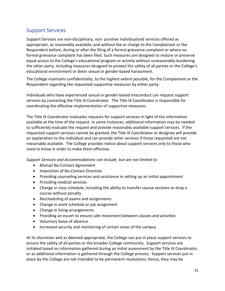# <span id="page-31-0"></span>Support Services

Support Services are non-disciplinary, non- punitive individualized services offered as appropriate, as reasonably available, and without fee or charge to the Complainant or the Respondent before, during or after the filing of a formal grievance complaint or where no formal grievance complaint has been filed. Such measures are designed to restore or preserve equal access to the College's educational program or activity without unreasonably burdening the other party, including measures designed to protect the safety of all parties or the College's educational environment or deter sexual or gender-based harassment.

The College maintains confidentiality, to the highest extent possible, for the Complainant or the Respondent regarding the requested supportive measures by either party.

Individuals who have experienced sexual or gender-based misconduct can request support services by contacting the Title IX Coordinator. The Title IX Coordinator is responsible for coordinating the effective implementation of supportive measures.

The Title IX Coordinator evaluates requests for support services in light of the information available at the time of the request. In some instances, additional information may be needed to sufficiently evaluate the request and provide reasonably available support services. If the requested support services cannot be granted, the Title IX Coordinator or designee will provide an explanation to the individual and can provide other services if those requested are not reasonably available. The College provides notice about support services only to those who need to know in order to make them effective.

*Support Services and Accommodations can include, but are not limited to:* 

- Mutual No-Contact Agreement
- Imposition of No-Contact Directive
- Providing counseling services and assistance in setting up an initial appointment
- Providing medical services
- Change in class schedule, including the ability to transfer course sections or drop a course without penalty
- Rescheduling of exams and assignments
- Change in work schedule or job assignment
- Change in living arrangements
- Providing an escort to ensure safe movement between classes and activities
- Voluntary leave of absence
- Increased security and monitoring of certain areas of the campus

At its discretion and as deemed appropriate, the College can put in place support services to ensure the safety of all parties or the broader College community. Support services are initiated based on information gathered during an initial assessment by the Title IX Coordinator, or as additional information is gathered through the College process. Support services put in place by the College are not intended to be permanent resolutions; hence, they may be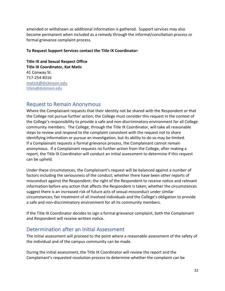amended or withdrawn as additional information is gathered. Support services may also become permanent when included as a remedy through the informal/conciliation process or formal grievance complaint process.

### **To Request Support Services contact the Title IX Coordinator:**

**Title IX and Sexual Respect Office Title IX Coordinator, Kat Matic** 41 Conway St. 717-254-8316 matick@dickinson.edu [titleix@dickinson.edu](mailto:titleix@dickinson.edu)

### <span id="page-32-0"></span>Request to Remain Anonymous

Where the Complainant requests that their identity not be shared with the Respondent or that the College not pursue further action, the College must consider this request in the context of the College's responsibility to provide a safe and non-discriminatory environment for all College community members. The College, through the Title IX Coordinator, will take all reasonable steps to review and respond to the complaint consistent with the request not to share identifying information or pursue an investigation, but its ability to do so may be limited. If a Complainant requests a formal grievance process, the Complainant cannot remain anonymous. If a Complainant requests no further action from the College, after making a report, the Title IX Coordinator will conduct an initial assessment to determine if this request can be upheld.

Under these circumstances, the Complainant's request will be balanced against a number of factors including the seriousness of the conduct; whether there have been other reports of misconduct against the Respondent; the right of the Respondent to receive notice and relevant information before any action that affects the Respondent is taken; whether the circumstances suggest there is an increased risk of future acts of sexual misconduct under similar circumstances; fair treatment of all involved individuals and the College's obligation to provide a safe and non-discriminatory environment for all its community members.

If the Title IX Coordinator decides to sign a formal grievance complaint, both the Complainant and Respondent will receive written notice.

### <span id="page-32-1"></span>Determination after an Initial Assessment

The initial assessment will proceed to the point where a reasonable assessment of the safety of the individual and of the campus community can be made.

During the initial assessment, the Title IX Coordinator will review the report and the Complainant's requested resolution process to determine whether the complaint can be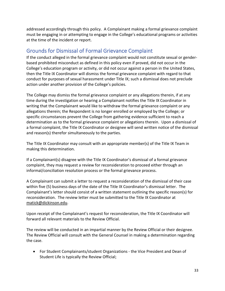addressed accordingly through this policy. A Complainant making a formal grievance complaint must be engaging in or attempting to engage in the College's educational programs or activities at the time of the incident or report.

# <span id="page-33-0"></span>Grounds for Dismissal of Formal Grievance Complaint

If the conduct alleged in the formal grievance complaint would not constitute sexual or genderbased prohibited misconduct as defined in this policy even if proved, did not occur in the College's education program or activity, or did not occur against a person in the United States, then the Title IX Coordinator will dismiss the formal grievance complaint with regard to that conduct for purposes of sexual harassment under Title IX; such a dismissal does not preclude action under another provision of the College's policies.

The College may dismiss the formal grievance complaint or any allegations therein, if at any time during the investigation or hearing a Complainant notifies the Title IX Coordinator in writing that the Complainant would like to withdraw the formal grievance complaint or any allegations therein; the Respondent is no longer enrolled or employed by the College; or specific circumstances prevent the College from gathering evidence sufficient to reach a determination as to the formal grievance complaint or allegations therein. Upon a dismissal of a formal complaint, the Title IX Coordinator or designee will send written notice of the dismissal and reason(s) therefor simultaneously to the parties.

The Title IX Coordinator may consult with an appropriate member(s) of the Title IX Team in making this determination.

If a Complainant(s) disagree with the Title IX Coordinator's dismissal of a formal grievance complaint, they may request a review for reconsideration to proceed either through an informal/conciliation resolution process or the formal grievance process.

A Complainant can submit a letter to request a reconsideration of the dismissal of their case within five (5) business days of the date of the Title IX Coordinator's dismissal letter. The Complainant's letter should consist of a written statement outlining the specific reason(s) for reconsideration. The review letter must be submitted to the Title IX Coordinator at [matick@dickinson.edu.](mailto:matick@dickinson.edu)

Upon receipt of the Complainant's request for reconsideration, the Title IX Coordinator will forward all relevant materials to the Review Official.

The review will be conducted in an impartial manner by the Review Official or their designee. The Review Official will consult with the General Counsel in making a determination regarding the case.

• For Student Complainants/student Organizations - the Vice President and Dean of Student Life is typically the Review Official;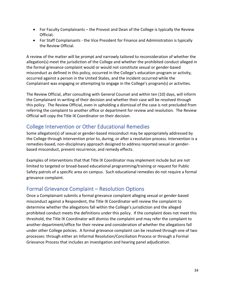- For Faculty Complainants the Provost and Dean of the College is typically the Review Official;
- For Staff Complainants the Vice President for Finance and Administration is typically the Review Official.

A review of the matter will be prompt and narrowly tailored to reconsideration of whether the allegation(s) meet the jurisdiction of the College and whether the prohibited conduct alleged in the formal grievance complaint would or would not constitute sexual or gender-based misconduct as defined in this policy, occurred in the College's education program or activity, occurred against a person in the United States, and the incident occurred while the Complainant was engaging or attempting to engage in the College's program(s) or activities.

The Review Official, after consulting with General Counsel and within ten (10) days, will inform the Complainant in-writing of their decision and whether their case will be resolved through this policy. The Review Official, even in upholding a dismissal of the case is not precluded from referring the complaint to another office or department for review and resolution. The Review Official will copy the Title IX Coordinator on their decision.

# <span id="page-34-0"></span>College Intervention or Other Educational Remedies

Some allegation(s) of sexual or gender-based misconduct may be appropriately addressed by the College through intervention prior to, during, or after a resolution process. Intervention is a remedies-based, non-disciplinary approach designed to address reported sexual or genderbased misconduct, prevent recurrence, and remedy effects.

Examples of interventions that that Title IX Coordinator may implement include but are not limited to targeted or broad-based educational programming/training or request for Public Safety patrols of a specific area on campus. Such educational remedies do not require a formal grievance complaint.

# <span id="page-34-1"></span>Formal Grievance Complaint – Resolution Options

Once a Complainant submits a formal grievance complaint alleging sexual or gender-based misconduct against a Respondent, the Title IX Coordinator will review the complaint to determine whether the allegations fall within the College's jurisdiction and the alleged prohibited conduct meets the definitions under this policy. If the complaint does not meet this threshold, the Title IX Coordinator will dismiss the complaint and may refer the complaint to another department/office for their review and consideration of whether the allegations fall under other College policies. A formal grievance complaint can be resolved through one of two processes: through either an Informal Resolution/Conciliation Process or through a Formal Grievance Process that includes an investigation and hearing panel adjudication.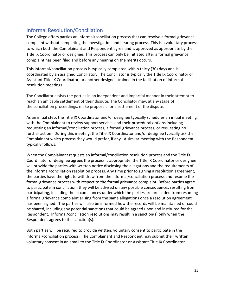# <span id="page-35-0"></span>Informal Resolution/Conciliation

The College offers parties an informal/conciliation process that can resolve a formal grievance complaint without completing the investigation and hearing process. This is a voluntary process to which both the Complainant and Respondent agree and is approved as appropriate by the Title IX Coordinator or designee. This process can only be initiated after a formal grievance complaint has been filed and before any hearing on the merits occurs.

This informal/conciliation process is typically completed within thirty (30) days and is coordinated by an assigned Conciliator. The Conciliator is typically the Title IX Coordinator or Assistant Title IX Coordinator, or another designee trained in the facilitation of informal resolution meetings.

The Conciliator assists the parties in an independent and impartial manner in their attempt to reach an amicable settlement of their dispute. The Conciliator may, at any stage of the conciliation proceedings, make proposals for a settlement of the dispute.

As an initial step, the Title IX Coordinator and/or designee typically schedules an initial meeting with the Complainant to review support services and their procedural options including requesting an informal/conciliation process, a formal grievance process, or requesting no further action. During this meeting, the Title IX Coordinator and/or designee typically ask the Complainant which process they would prefer, if any. A similar meeting with the Respondent typically follows.

When the Complainant requests an informal/conciliation resolution process and the Title IX Coordinator or designee agrees the process is appropriate, the Title IX Coordinator or designee will provide the parties with written notice disclosing the allegations and the requirements of the informal/conciliation resolution process. Any time prior to signing a resolution agreement, the parties have the right to withdraw from the informal/conciliation process and resume the formal grievance process with respect to the formal grievance complaint. Before parties agree to participate in conciliation, they will be advised on any possible consequences resulting from participating, including the circumstances under which the parties are precluded from resuming a formal grievance complaint arising from the same allegations once a resolution agreement has been signed. The parties will also be informed how the records will be maintained or could be shared, including any potential sanctions that could be agreed upon and instituted for the Respondent. Informal/conciliation resolutions may result in a sanction(s) only when the Respondent agrees to the sanction(s).

Both parties will be required to provide written, voluntary consent to participate in the informal/conciliation process. The Complainant and Respondent may submit their written, voluntary consent in an email to the Title IX Coordinator or Assistant Title IX Coordinator.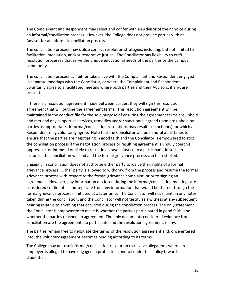The Complainant and Respondent may select and confer with an Advisor of their choice during an informal/conciliation process. However, the College does not provide parties with an Advisor for an informal/conciliation process.

The conciliation process may utilize conflict resolution strategies, including, but not limited to facilitation, mediation, and/or restorative justice. The Conciliator has flexibility to craft resolution processes that serve the unique educational needs of the parties or the campus community.

The conciliation process can either take place with the Complainant and Respondent engaged in separate meetings with the Conciliator, or where the Complainant and Respondent voluntarily agree to a facilitated meeting where both parties and their Advisors, if any, are present.

If there is a resolution agreement made between parties, they will sign this resolution agreement that will outline the agreement terms. This resolution agreement will be maintained in the conduct file for the sole purpose of ensuring the agreement terms are upheld and met and any supportive services, remedies and/or sanction(s) agreed upon are upheld by parties as appropriate. Informal/conciliation resolutions may result in sanction(s) for which a Respondent may voluntarily agree. Note that the Conciliator will be mindful at all times to ensure that the parties are negotiating in good faith and the Conciliator is empowered to stop the conciliation process if the negotiation process or resulting agreement is unduly coercive, oppressive, or intended or likely to result in a grave injustice to a participant. In such an instance, the conciliation will end and the formal grievance process can be restarted.

Engaging in conciliation does not authorize either party to waive their rights of a formal grievance process. Either party is allowed to withdraw from the process and resume the formal grievance process with respect to the formal grievance complaint, prior to signing an agreement. However, any information disclosed during the informal/conciliation meetings are considered confidential and separate from any information that would be shared through the formal grievance process if initiated at a later time. The Conciliator will not maintain any notes taken during the conciliation, and the Conciliator will not testify as a witness at any subsequent hearing relative to anything that occurred during the conciliation process. The only statement the Conciliator is empowered to make is whether the parties participated in good faith, and whether the parties reached an agreement. The only documents considered evidence from a conciliation are the agreements to participate and the resolution agreement, if any.

The parties remain free to negotiate the terms of the resolution agreement and, once entered into, the voluntary agreement becomes binding according to its terms.

The College may not use informal/conciliation resolution to resolve allegations where an employee is alleged to have engaged in prohibited conduct under this policy towards a student(s).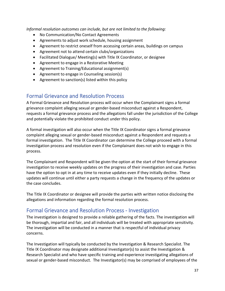*Informal resolution outcomes can include, but are not limited to the following:*

- No Communication/No Contact Agreements
- Agreements to adjust work schedule, housing assignment
- Agreement to restrict oneself from accessing certain areas, buildings on campus
- Agreement not to attend certain clubs/organizations
- Facilitated Dialogue/ Meeting(s) with Title IX Coordinator, or designee
- Agreement to engage in a Restorative Meeting
- Agreement to Training/Educational assignment(s)
- Agreement to engage in Counseling session(s)
- Agreement to sanction(s) listed within this policy

### <span id="page-37-0"></span>Formal Grievance and Resolution Process

A Formal Grievance and Resolution process will occur when the Complainant signs a formal grievance complaint alleging sexual or gender-based misconduct against a Respondent, requests a formal grievance process and the allegations fall under the jurisdiction of the College and potentially violate the prohibited conduct under this policy.

A formal investigation will also occur when the Title IX Coordinator signs a formal grievance complaint alleging sexual or gender-based misconduct against a Respondent and requests a formal investigation. The Title IX Coordinator can determine the College proceed with a formal investigation process and resolution even if the Complainant does not wish to engage in this process.

The Complainant and Respondent will be given the option at the start of their formal grievance investigation to receive weekly updates on the progress of their investigation and case. Parties have the option to opt in at any time to receive updates even if they initially decline. These updates will continue until either a party requests a change in the frequency of the updates or the case concludes.

The Title IX Coordinator or designee will provide the parties with written notice disclosing the allegations and information regarding the formal resolution process.

# <span id="page-37-1"></span>Formal Grievance and Resolution Process - Investigation

The investigation is designed to provide a reliable gathering of the facts. The investigation will be thorough, impartial and fair, and all individuals will be treated with appropriate sensitivity. The investigation will be conducted in a manner that is respectful of individual privacy concerns.

The Investigation will typically be conducted by the Investigation & Research Specialist. The Title IX Coordinator may designate additional Investigator(s) to assist the Investigation & Research Specialist and who have specific training and experience investigating allegations of sexual or gender-based misconduct. The Investigator(s) may be comprised of employees of the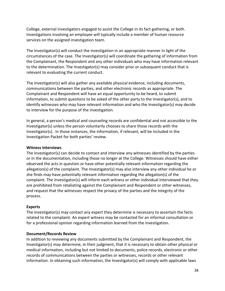College, external investigators engaged to assist the College in its fact gathering, or both. Investigations involving an employee will typically include a member of human resource services on the assigned investigation team.

The Investigator(s) will conduct the investigation in an appropriate manner in light of the circumstances of the case. The Investigator(s) will coordinate the gathering of information from the Complainant, the Respondent and any other individuals who may have information relevant to the determination. The Investigator(s) may consider prior or subsequent conduct that is relevant to evaluating the current conduct.

The Investigator(s) will also gather any available physical evidence, including documents, communications between the parties, and other electronic records as appropriate. The Complainant and Respondent will have an equal opportunity to be heard, to submit information, to submit questions to be asked of the other party to the Investigator(s), and to identify witnesses who may have relevant information and who the Investigator(s) may decide to interview for the purpose of the investigation.

In general, a person's medical and counseling records are confidential and not accessible to the Investigator(s) unless the person voluntarily chooses to share those records with the Investigator(s). In those instances, the information, if relevant, will be included in the Investigation Packet for both parties' review.

### **Witness Interviews**

The Investigator(s) can decide to contact and interview any witnesses identified by the parties or in the documentation, including those no longer at the College. Witnesses should have either observed the acts in question or have other potentially relevant information regarding the allegation(s) of the complaint. The Investigator(s) may also interview any other individual he or she finds may have potentially relevant information regarding the allegation(s) of the complaint. The Investigator(s) will inform each witness or other individual interviewed that they are prohibited from retaliating against the Complainant and Respondent or other witnesses, and request that the witnesses respect the privacy of the parties and the integrity of the process.

#### **Experts**

The Investigator(s) may contact any expert they determine is necessary to ascertain the facts related to the complaint. An expert witness may be contacted for an informal consultation or for a professional opinion regarding information learned from the investigation.

#### **Document/Records Review**

In addition to reviewing any documents submitted by the Complainant and Respondent, the Investigator(s) may determine, in their judgment, that it is necessary to obtain other physical or medical information, including but not limited to documents, police records, electronic or other records of communications between the parties or witnesses, records or other relevant information. In obtaining such information, the Investigator(s) will comply with applicable laws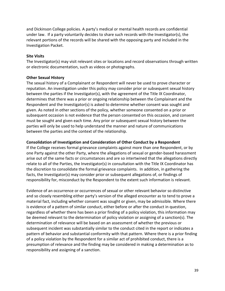and Dickinson College policies. A party's medical or mental health records are confidential under law. If a party voluntarily decides to share such records with the Investigator(s), the relevant portions of the records will be shared with the opposing party and included in the Investigation Packet.

#### **Site Visits**

The Investigator(s) may visit relevant sites or locations and record observations through written or electronic documentation, such as videos or photographs.

#### **Other Sexual History**

The sexual history of a Complainant or Respondent will never be used to prove character or reputation. An investigation under this policy may consider prior or subsequent sexual history between the parties if the Investigator(s), with the agreement of the Title IX Coordinator, determines that there was a prior or ongoing relationship between the Complainant and the Respondent and the Investigator(s) is asked to determine whether consent was sought and given. As noted in other sections of the policy, whether someone consented on a prior or subsequent occasion is not evidence that the person consented on this occasion, and consent must be sought and given each time. Any prior or subsequent sexual history between the parties will only be used to help understand the manner and nature of communications between the parties and the context of the relationship.

#### **Consolidation of Investigation and Consideration of Other Conduct by a Respondent**

If the College receives formal grievance complaints against more than one Respondent, or by one Party against the other Party, where the allegations of sexual or gender-based harassment arise out of the same facts or circumstances and are so intertwined that the allegations directly relate to all of the Parties, the Investigator(s) in consultation with the Title IX Coordinator has the discretion to consolidate the formal grievance complaints. In addition, in gathering the facts, the Investigator(s) may consider prior or subsequent allegations of, or findings of responsibility for, misconduct by the Respondent to the extent such information is relevant.

Evidence of an occurrence or occurrences of sexual or other relevant behavior so distinctive and so closely resembling either party's version of the alleged encounter as to tend to prove a material fact, including whether consent was sought or given, may be admissible. Where there is evidence of a pattern of similar conduct, either before or after the conduct in question, regardless of whether there has been a prior finding of a policy violation, this information may be deemed relevant to the determination of policy violation or assigning of a sanction(s). The determination of relevance will be based on an assessment of whether the previous or subsequent incident was substantially similar to the conduct cited in the report or indicates a pattern of behavior and substantial conformity with that pattern. Where there is a prior finding of a policy violation by the Respondent for a similar act of prohibited conduct, there is a presumption of relevance and the finding may be considered in making a determination as to responsibility and assigning of a sanction.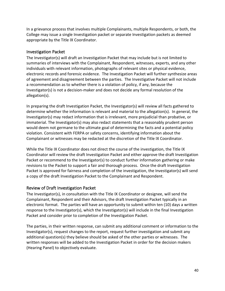In a grievance process that involves multiple Complainants, multiple Respondents, or both, the College may issue a single Investigation packet or separate Investigation packets as deemed appropriate by the Title IX Coordinator.

### <span id="page-40-0"></span>Investigation Packet

The Investigator(s) will draft an Investigation Packet that may include but is not limited to summaries of interviews with the Complainant, Respondent, witnesses, experts, and any other individuals with relevant information, photographs of relevant sites or physical evidence, electronic records and forensic evidence. The Investigation Packet will further synthesize areas of agreement and disagreement between the parties. The Investigative Packet will not include a recommendation as to whether there is a violation of policy, if any, because the Investigator(s) is not a decision-maker and does not decide any formal resolution of the allegation(s).

In preparing the draft Investigation Packet, the Investigator(s) will review all facts gathered to determine whether the information is relevant and material to the allegation(s). In general, the Investigator(s) may redact information that is irrelevant, more prejudicial than probative, or immaterial. The Investigator(s) may also redact statements that a reasonably prudent person would deem not germane to the ultimate goal of determining the facts and a potential policy violation. Consistent with FERPA or safety concerns, identifying information about the Complainant or witnesses may be redacted at the discretion of the Title IX Coordinator.

While the Title IX Coordinator does not direct the course of the investigation, the Title IX Coordinator will review the draft Investigation Packet and either approve the draft Investigation Packet or recommend to the Investigator(s) to conduct further information gathering or make revisions to the Packet to support a fair and thorough process. Once the draft Investigation Packet is approved for fairness and completion of the investigation, the Investigator(s) will send a copy of the draft Investigation Packet to the Complainant and Respondent.

### <span id="page-40-1"></span>Review of Draft Investigation Packet

The Investigator(s), in consultation with the Title IX Coordinator or designee, will send the Complainant, Respondent and their Advisors, the draft Investigation Packet typically in an electronic format. The parties will have an opportunity to submit within ten (10) days a written response to the Investigator(s), which the Investigator(s) will include in the final Investigation Packet and consider prior to completion of the Investigation Packet.

The parties, in their written response, can submit any additional comment or information to the Investigator(s), request changes to the report, request further investigation and submit any additional question(s) they believe should be asked of the other parties or witnesses. The written responses will be added to the Investigation Packet in order for the decision makers (Hearing Panel) to objectively evaluate.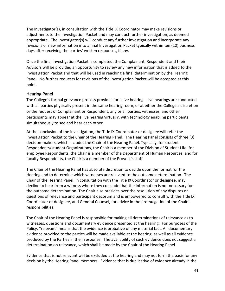The Investigator(s), in consultation with the Title IX Coordinator may make revisions or adjustments to the Investigation Packet and may conduct further investigation, as deemed appropriate. The Investigator(s) will conduct any further investigation and incorporate any revisions or new information into a final Investigation Packet typically within ten (10) business days after receiving the parties' written responses, if any.

Once the final Investigation Packet is completed, the Complainant, Respondent and their Advisors will be provided an opportunity to review any new information that is added to the Investigation Packet and that will be used in reaching a final determination by the Hearing Panel. No further requests for revisions of the Investigation Packet will be accepted at this point.

### <span id="page-41-0"></span>Hearing Panel

The College's formal grievance process provides for a live hearing. Live hearings are conducted with all parties physically present in the same hearing room, or at either the College's discretion or the request of Complainant or Respondent, any or all parties, witnesses, and other participants may appear at the live hearing virtually, with technology enabling participants simultaneously to see and hear each other.

At the conclusion of the investigation, the Title IX Coordinator or designee will refer the Investigation Packet to the Chair of the Hearing Panel. The Hearing Panel consists of three (3) decision-makers, which includes the Chair of the Hearing Panel. Typically, for student Respondents/student Organizations, the Chair is a member of the Division of Student Life; for employee Respondents, the Chair is a member of the Department of Human Resources; and for faculty Respondents, the Chair is a member of the Provost's staff.

The Chair of the Hearing Panel has absolute discretion to decide upon the format for the Hearing and to determine which witnesses are relevant to the outcome determination. The Chair of the Hearing Panel, in consultation with the Title IX Coordinator or designee, may decline to hear from a witness where they conclude that the information is not necessary for the outcome determination. The Chair also presides over the resolution of any disputes on questions of relevance and participant decorum and is empowered to consult with the Title IX Coordinator or designee, and General Counsel, for advice in the promulgation of the Chair's responsibilities.

The Chair of the Hearing Panel is responsible for making all determinations of relevance as to witnesses, questions and documentary evidence presented at the hearing. For purposes of the Policy, "relevant" means that the evidence is probative of any material fact. All documentary evidence provided to the parties will be made available at the hearing, as well as all evidence produced by the Parties in their response. The availability of such evidence does not suggest a determination on relevance, which shall be made by the Chair of the Hearing Panel.

Evidence that is not relevant will be excluded at the hearing and may not form the basis for any decision by the Hearing Panel members. Evidence that is duplicative of evidence already in the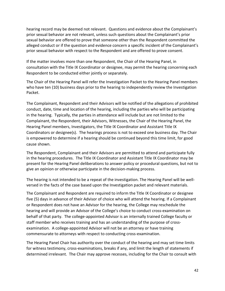hearing record may be deemed not relevant. Questions and evidence about the Complainant's prior sexual behavior are not relevant, unless such questions about the Complainant's prior sexual behavior are offered to prove that someone other than the Respondent committed the alleged conduct or if the question and evidence concern a specific incident of the Complainant's prior sexual behavior with respect to the Respondent and are offered to prove consent.

If the matter involves more than one Respondent, the Chair of the Hearing Panel, in consultation with the Title IX Coordinator or designee, may permit the hearing concerning each Respondent to be conducted either jointly or separately.

The Chair of the Hearing Panel will refer the Investigation Packet to the Hearing Panel members who have ten (10) business days prior to the hearing to independently review the Investigation Packet.

The Complainant, Respondent and their Advisors will be notified of the allegations of prohibited conduct, date, time and location of the hearing, including the parties who will be participating in the hearing. Typically, the parties in attendance will include but are not limited to the Complainant, the Respondent, their Advisors, Witnesses, the Chair of the Hearing Panel, the Hearing Panel members, Investigators, the Title IX Coordinator and Assistant Title IX Coordinators or designee(s). The hearings process is not to exceed one business day. The Chair is empowered to determine if a hearing should be continued beyond this time limit, for good cause shown.

The Respondent, Complainant and their Advisors are permitted to attend and participate fully in the hearing procedures. The Title IX Coordinator and Assistant Title IX Coordinator may be present for the Hearing Panel deliberations to answer policy or procedural questions, but not to give an opinion or otherwise participate in the decision-making process.

The hearing is not intended to be a repeat of the investigation. The Hearing Panel will be wellversed in the facts of the case based upon the Investigation packet and relevant materials.

The Complainant and Respondent are required to inform the Title IX Coordinator or designee five (5) days in advance of their Advisor of choice who will attend the hearing. If a Complainant or Respondent does not have an Advisor for the hearing, the College may reschedule the hearing and will provide an Advisor of the College's choice to conduct cross-examination on behalf of that party. The college-appointed Advisor is an internally trained College faculty or staff member who receives training and has an understanding of the purpose of crossexamination. A college-appointed Advisor will not be an attorney or have training commensurate to attorneys with respect to conducting cross-examination.

The Hearing Panel Chair has authority over the conduct of the hearing and may set time limits for witness testimony, cross-examinations, breaks if any, and limit the length of statements if determined irrelevant. The Chair may approve recesses, including for the Chair to consult with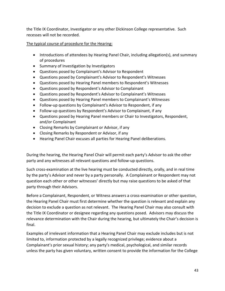the Title IX Coordinator, Investigator or any other Dickinson College representative. Such recesses will not be recorded.

The typical course of procedure for the Hearing:

- Introductions of attendees by Hearing Panel Chair, including allegation(s), and summary of procedures
- Summary of Investigation by Investigators
- Questions posed by Complainant's Advisor to Respondent
- Questions posed by Complainant's Advisor to Respondent's Witnesses
- Questions posed by Hearing Panel members to Respondent's Witnesses
- Questions posed by Respondent's Advisor to Complainant
- Questions posed by Respondent's Advisor to Complainant's Witnesses
- Questions posed by Hearing Panel members to Complainant's Witnesses
- Follow-up questions by Complainant's Advisor to Respondent, if any
- Follow-up questions by Respondent's Advisor to Complainant, if any
- Questions posed by Hearing Panel members or Chair to Investigators, Respondent, and/or Complainant
- Closing Remarks by Complainant or Advisor, if any
- Closing Remarks by Respondent or Advisor, if any
- Hearing Panel Chair excuses all parties for Hearing Panel deliberations.

During the hearing, the Hearing Panel Chair will permit each party's Advisor to ask the other party and any witnesses all relevant questions and follow-up questions.

Such cross-examination at the live hearing must be conducted directly, orally, and in real time by the party's Advisor and never by a party personally. A Complainant or Respondent may not question each other or other witnesses' directly but may raise questions to be asked of that party through their Advisors.

Before a Complainant, Respondent, or Witness answers a cross-examination or other question, the Hearing Panel Chair must first determine whether the question is relevant and explain any decision to exclude a question as not relevant. The Hearing Panel Chair may also consult with the Title IX Coordinator or designee regarding any questions posed. Advisors may discuss the relevance determination with the Chair during the hearing, but ultimately the Chair's decision is final.

Examples of irrelevant information that a Hearing Panel Chair may exclude includes but is not limited to, information protected by a legally recognized privilege; evidence about a Complainant's prior sexual history; any party's medical, psychological, and similar records unless the party has given voluntary, written consent to provide the information for the College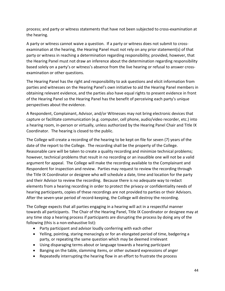process; and party or witness statements that have not been subjected to cross-examination at the hearing.

A party or witness cannot waive a question. If a party or witness does not submit to crossexamination at the hearing, the Hearing Panel must not rely on any prior statement(s) of that party or witness in reaching a determination regarding responsibility; provided, however, that the Hearing Panel must not draw an inference about the determination regarding responsibility based solely on a party's or witness's absence from the live hearing or refusal to answer crossexamination or other questions.

The Hearing Panel has the right and responsibility to ask questions and elicit information from parties and witnesses on the Hearing Panel's own initiative to aid the Hearing Panel members in obtaining relevant evidence, and the parties also have equal rights to present evidence in front of the Hearing Panel so the Hearing Panel has the benefit of perceiving each party's unique perspectives about the evidence.

A Respondent, Complainant, Advisor, and/or Witnesses may not bring electronic devices that capture or facilitate communication (e.g. computer, cell phone, audio/video recorder, etc.) into a hearing room, in-person or virtually, unless authorized by the Hearing Panel Chair and Title IX Coordinator. The hearing is closed to the public.

The College will create a recording of the hearing to be kept on file for seven (7) years of the date of the report to the College. The recording shall be the property of the College. Reasonable care will be taken to create a quality recording and minimize technical problems; however, technical problems that result in no recording or an inaudible one will not be a valid argument for appeal. The College will make the recording available to the Complainant and Respondent for inspection and review. Parties may request to review the recording through the Title IX Coordinator or designee who will schedule a date, time and location for the party and their Advisor to review the recording. Because there is no adequate way to redact elements from a hearing recording in order to protect the privacy or confidentiality needs of hearing participants, copies of these recordings are not provided to parties or their Advisors. After the seven-year period of record-keeping, the College will destroy the recording.

The College expects that all parties engaging in a hearing will act in a respectful manner towards all participants. The Chair of the Hearing Panel, Title IX Coordinator or designee may at any time stop a hearing process if participants are disrupting the process by doing any of the following (this is a non-exhaustive list):

- Party participant and advisor loudly conferring with each other
- Yelling, pointing, staring menacingly or for an elongated period of time, badgering a party, or repeating the same question which may be deemed irrelevant
- Using disparaging terms about or language towards a hearing participant
- Banging on the table, slamming items, or other outward expressions of anger
- Repeatedly interrupting the hearing flow in an effort to frustrate the process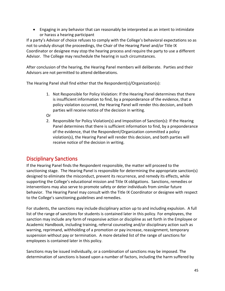• Engaging in any behavior that can reasonably be interpreted as an intent to intimidate or harass a hearing participant

If a party's Advisor of choice refuses to comply with the College's behavioral expectations so as not to unduly disrupt the proceedings, the Chair of the Hearing Panel and/or Title IX Coordinator or designee may stop the hearing process and require the party to use a different Advisor. The College may reschedule the hearing in such circumstances.

After conclusion of the hearing, the Hearing Panel members will deliberate. Parties and their Advisors are not permitted to attend deliberations.

The Hearing Panel shall find either that the Respondent(s)/Organization(s):

1. Not Responsible for Policy Violation: If the Hearing Panel determines that there is insufficient information to find, by a preponderance of the evidence, that a policy violation occurred, the Hearing Panel will render this decision, and both parties will receive notice of the decision in writing.

Or

2. Responsible for Policy Violation(s) and Imposition of Sanction(s): If the Hearing Panel determines that there is sufficient information to find, by a preponderance of the evidence, that the Respondent/Organization committed a policy violation(s), the Hearing Panel will render this decision, and both parties will receive notice of the decision in writing.

# <span id="page-45-0"></span>Disciplinary Sanctions

If the Hearing Panel finds the Respondent responsible, the matter will proceed to the sanctioning stage. The Hearing Panel is responsible for determining the appropriate sanction(s) designed to eliminate the misconduct, prevent its recurrence, and remedy its effects, while supporting the College's educational mission and Title IX obligations. Sanctions, remedies or interventions may also serve to promote safety or deter individuals from similar future behavior. The Hearing Panel may consult with the Title IX Coordinator or designee with respect to the College's sanctioning guidelines and remedies.

For students, the sanctions may include disciplinary action up to and including expulsion. A full list of the range of sanctions for students is contained later in this policy. For employees, the sanction may include any form of responsive action or discipline as set forth in the Employee or Academic Handbook, including training, referral counseling and/or disciplinary action such as warning, reprimand, withholding of a promotion or pay increase, reassignment, temporary suspension without pay or termination. A more detailed list of the range of sanctions for employees is contained later in this policy.

Sanctions may be issued individually, or a combination of sanctions may be imposed. The determination of sanctions is based upon a number of factors, including the harm suffered by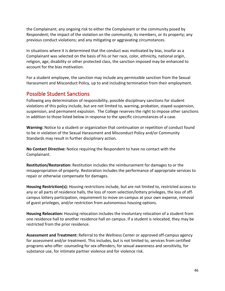the Complainant; any ongoing risk to either the Complainant or the community posed by Respondent; the impact of the violation on the community, its members, or its property; any previous conduct violations; and any mitigating or aggravating circumstances.

In situations where it is determined that the conduct was motivated by bias, insofar as a Complainant was selected on the basis of his or her race, color, ethnicity, national origin, religion, age, disability or other protected class, the sanction imposed may be enhanced to account for the bias motivation.

For a student employee, the sanction may include any permissible sanction from the Sexual Harassment and Misconduct Policy, up to and including termination from their employment.

# <span id="page-46-0"></span>Possible Student Sanctions

Following any determination of responsibility, possible disciplinary sanctions for student violations of this policy include, but are not limited to, warning, probation, stayed suspension, suspension, and permanent expulsion. The College reserves the right to impose other sanctions in addition to those listed below in response to the specific circumstances of a case.

**Warning:** Notice to a student or organization that continuation or repetition of conduct found to be in violation of the Sexual Harassment and Misconduct Policy and/or Community Standards may result in further disciplinary action.

**No Contact Directive:** Notice requiring the Respondent to have no contact with the Complainant.

**Restitution/Restoration:** Restitution includes the reimbursement for damages to or the misappropriation of property. Restoration includes the performance of appropriate services to repair or otherwise compensate for damages.

**Housing Restriction(s):** Housing restrictions include, but are not limited to, restricted access to any or all parts of residence halls, the loss of room selection/lottery privileges, the loss of offcampus lottery participation, requirement to move on-campus at your own expense, removal of guest privileges, and/or restriction from autonomous housing options.

**Housing Relocation:** Housing relocation includes the involuntary relocation of a student from one residence hall to another residence hall on campus. If a student is relocated, they may be restricted from the prior residence.

**Assessment and Treatment:** Referral to the Wellness Center or approved off-campus agency for assessment and/or treatment. This includes, but is not limited to, services from certified programs who offer: counseling for sex offenders, for sexual awareness and sensitivity, for substance use, for intimate partner violence and for violence risk.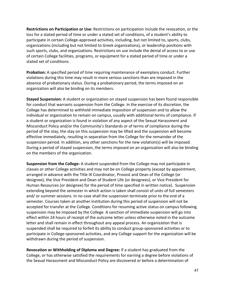**Restrictions on Participation or Use:** Restrictions on participation include the revocation, or the loss for a stated period of time or under a stated set of conditions, of a student's ability to participate in certain College-approved activities, including, but not limited to, sports, clubs, organizations (including but not limited to Greek organizations), or leadership positions with such sports, clubs, and organizations. Restrictions on use include the denial of access to or use of certain College facilities, programs, or equipment for a stated period of time or under a stated set of conditions.

**Probation:** A specified period of time requiring maintenance of exemplary conduct. Further violations during this time may result in more serious sanctions than are imposed in the absence of probationary status. During a probationary period, the terms imposed on an organization will also be binding on its members.

**Stayed Suspension:** A student or organization on stayed suspension has been found responsible for conduct that warrants suspension from the College. In the exercise of its discretion, the College has determined to withhold immediate imposition of suspension and to allow the individual or organization to remain on campus, usually with additional terms of compliance. If a student or organization is found in violation of any aspect of the Sexual Harassment and Misconduct Policy and/or the Community's Standards or of terms of compliance during the period of the stay, the stay on this suspension may be lifted and the suspension will become effective immediately, resulting in separation from the College for the remainder of the suspension period. In addition, any other sanctions for the new violation(s) will be imposed. During a period of stayed suspension, the terms imposed on an organization will also be binding on the members of the organization.

**Suspension from the College:** A student suspended from the College may not participate in classes or other College activities and may not be on College property (except by appointment, arranged in advance with the Title IX Coordinator, Provost and Dean of the College (or designee), the Vice President and Dean of Student Life (or designees), or Vice President for Human Resources (or designee) for the period of time specified in written notice). Suspension extending beyond the semester in which action is taken shall consist of units of full semesters and/ or summer sessions. In no case shall the suspension terminate prior to the end of a semester. Courses taken at another institution during this period of suspension will not be accepted for transfer at the College. Conditions for resuming active status on campus following suspension may be imposed by the College. A sanction of immediate suspension will go into effect within 24 hours of receipt of the outcome letter unless otherwise noted in the outcome letter and shall remain in effect throughout any appeal process. An organization that is suspended shall be required to forfeit its ability to conduct group-sponsored activities or to participate in College-sponsored activities, and any College support for the organization will be withdrawn during the period of suspension.

**Revocation or Withholding of Diploma and Degree:** If a student has graduated from the College, or has otherwise satisfied the requirements for earning a degree before violations of the Sexual Harassment and Misconduct Policy are discovered or before a determination of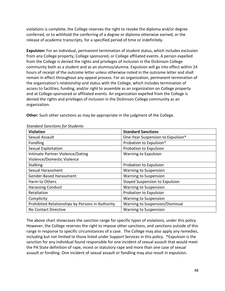violations is complete, the College reserves the right to revoke the diploma and/or degree conferred, or to withhold the conferring of a degree or diploma otherwise earned, or the release of academic transcripts, for a specified period of time or indefinitely.

**Expulsion:** For an individual, permanent termination of student status, which includes exclusion from any College property, College sponsored, or College affiliated events. A person expelled from the College is denied the rights and privileges of inclusion in the Dickinson College community both as a student and as an alumnus/alumna. Expulsion will go into effect within 24 hours of receipt of the outcome letter unless otherwise noted in the outcome letter and shall remain in effect throughout any appeal process. For an organization, permanent termination of the organization's relationship and status with the College, which includes termination of access to facilities, funding, and/or right to assemble as an organization on College property and at College-sponsored or affiliated events. An organization expelled from the College is denied the rights and privileges of inclusion in the Dickinson College community as an organization.

**Other:** Such other sanctions as may be appropriate in the judgment of the College.

| <b>Violation</b>                                 | <b>Standard Sanctions</b>             |
|--------------------------------------------------|---------------------------------------|
| Sexual Assault                                   | One-Year Suspension to Expulsion*     |
| Fondling                                         | Probation to Expulsion*               |
| Sexual Exploitation                              | Probation to Expulsion                |
| Intimate Partner Violence/Dating                 | <b>Warning to Expulsion</b>           |
| Violence/Domestic Violence                       |                                       |
| <b>Stalking</b>                                  | Probation to Expulsion                |
| Sexual Harassment                                | <b>Warning to Suspension</b>          |
| Gender-Based Harassment                          | <b>Warning to Suspension</b>          |
| Harm to Others                                   | <b>Stayed Suspension to Expulsion</b> |
| <b>Harassing Conduct</b>                         | <b>Warning to Suspension</b>          |
| Retaliation                                      | Probation to Expulsion                |
| Complicity                                       | <b>Warning to Suspension</b>          |
| Prohibited Relationships by Persons in Authority | Warning to Suspension/Dismissal       |
| No Contact Directive                             | <b>Warning to Suspension</b>          |

#### *Standard Sanctions for Students*

The above chart showcases the sanction range for specific types of violations, under this policy. However, the College reserves the right to impose other sanctions, and sanctions outside of this range in response to specific circumstances of a case. The College may also apply any remedies, including but not limited to those listed under Support Services in this policy. \*Expulsion is the sanction for any individual found responsible for one incident of sexual assault that would meet the PA State definition of rape, incest or statutory rape and more than one case of sexual assault or fondling. One incident of sexual assault or fondling may also result in expulsion.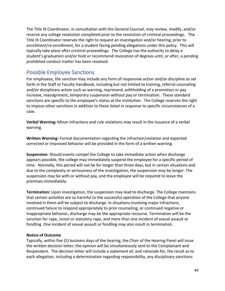The Title IX Coordinator, in consultation with the General Counsel, may review, modify, and/or reverse any college resolution completed prior to the resolution of criminal proceedings. The Title IX Coordinator reserves the right to request an investigation and/or hearing, prior to enrollment/re-enrollment, for a student facing pending allegations under this policy. This will typically take place after criminal proceedings. The College has the authority to delay a student's graduation and/or hold or recommend revocation of degrees until, or after, a pending prohibited conduct matter has been resolved.

### <span id="page-49-0"></span>Possible Employee Sanctions

For employees, the sanction may include any form of responsive action and/or discipline as set forth in the Staff or Faculty Handbook, including but not limited to training, referral counseling and/or disciplinary action such as warning, reprimand, withholding of a promotion or pay increase, reassignment, temporary suspension without pay or termination. These standard sanctions are specific to the employee's status at the institution. The College reserves the right to impose other sanctions in addition to these listed in response to specific circumstances of a case.

**Verbal Warning:** Minor infractions and rule violations may result in the issuance of a verbal warning.

**Written Warning:** Formal documentation regarding the infraction/violation and expected corrected or improved behavior will be provided in the form of a written warning.

**Suspension:** Should events compel the College to take immediate action when discharge appears possible, the college may immediately suspend the employee for a specific period of time. Normally, this period will not be for longer than three days, but in certain situations and due to the complexity or seriousness of the investigation, the suspension may be longer. The suspension may be with or without pay, and the employee will be required to leave the premises immediately.

**Termination:** Upon investigation, the suspension may lead to discharge. The College maintains that certain activities are so harmful to the successful operation of the College that anyone involved in them will be subject to discharge. In situations involving major infractions, continued failure to respond appropriately to prior counseling, or continued negative or inappropriate behavior, discharge may be the appropriate recourse. Termination will be the sanction for rape, incest or statutory rape, and more than one incident of sexual assault or fondling. One incident of sexual assault or fondling may also result in termination.

### **Notice of Outcome**

Typically, within five (5) business days of the hearing, the Chair of the Hearing Panel will issue the written decision letter; the opinion will be simultaneously sent to the Complainant and Respondent. The decision letter will include a statement of, and rationale for, the result as to each allegation, including a determination regarding responsibility, any disciplinary sanctions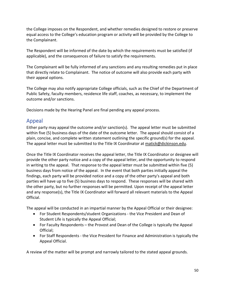the College imposes on the Respondent, and whether remedies designed to restore or preserve equal access to the College's education program or activity will be provided by the College to the Complainant.

The Respondent will be informed of the date by which the requirements must be satisfied (if applicable), and the consequences of failure to satisfy the requirements.

The Complainant will be fully informed of any sanctions and any resulting remedies put in place that directly relate to Complainant. The notice of outcome will also provide each party with their appeal options.

The College may also notify appropriate College officials, such as the Chief of the Department of Public Safety, faculty members, residence life staff, coaches, as necessary, to implement the outcome and/or sanctions.

<span id="page-50-0"></span>Decisions made by the Hearing Panel are final pending any appeal process.

### Appeal

Either party may appeal the outcome and/or sanction(s). The appeal letter must be submitted within five (5) business days of the date of the outcome letter. The appeal should consist of a plain, concise, and complete written statement outlining the specific ground(s) for the appeal. The appeal letter must be submitted to the Title IX Coordinator at [matick@dickinson.edu.](mailto:matick@dickinson.edu)

Once the Title IX Coordinator receives the appeal letter, the Title IX Coordinator or designee will provide the other party notice and a copy of the appeal letter, and the opportunity to respond in writing to the appeal. That response to the appeal letter must be submitted within five (5) business days from notice of the appeal. In the event that both parties initially appeal the findings, each party will be provided notice and a copy of the other party's appeal and both parties will have up to five (5) business days to respond. These responses will be shared with the other party, but no further responses will be permitted. Upon receipt of the appeal letter and any response(s), the Title IX Coordinator will forward all relevant materials to the Appeal Official.

The appeal will be conducted in an impartial manner by the Appeal Official or their designee:

- For Student Respondents/student Organizations the Vice President and Dean of Student Life is typically the Appeal Official;
- For Faculty Respondents the Provost and Dean of the College is typically the Appeal Official;
- For Staff Respondents the Vice President for Finance and Administration is typically the Appeal Official.

A review of the matter will be prompt and narrowly tailored to the stated appeal grounds.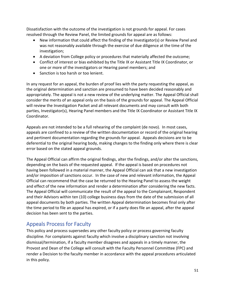Dissatisfaction with the outcome of the investigation is not grounds for appeal. For cases resolved through the Review Panel, the limited grounds for appeal are as follows:

- New information that could affect the finding of the Investigator(s) or Review Panel and was not reasonably available through the exercise of due diligence at the time of the investigation;
- A deviation from College policy or procedures that materially affected the outcome;
- Conflict of interest or bias exhibited by the Title IX or Assistant Title IX Coordinator, or one or more of the investigators or Hearing panel members; and
- Sanction is too harsh or too lenient.

In any request for an appeal, the burden of proof lies with the party requesting the appeal, as the original determination and sanction are presumed to have been decided reasonably and appropriately. The appeal is not a new review of the underlying matter. The Appeal Official shall consider the merits of an appeal only on the basis of the grounds for appeal. The Appeal Official will review the Investigation Packet and all relevant documents and may consult with both parties, Investigator(s), Hearing Panel members and the Title IX Coordinator or Assistant Title IX Coordinator.

Appeals are not intended to be a full rehearing of the complaint (de novo). In most cases, appeals are confined to a review of the written documentation or record of the original hearing and pertinent documentation regarding the grounds for appeal. Appeals decisions are to be deferential to the original hearing body, making changes to the finding only where there is clear error based on the stated appeal grounds.

The Appeal Official can affirm the original findings, alter the findings, and/or alter the sanctions, depending on the basis of the requested appeal. If the appeal is based on procedures not having been followed in a material manner, the Appeal Official can ask that a new investigation and/or imposition of sanctions occur. In the case of new and relevant information, the Appeal Official can recommend that the case be returned to the Hearing Panel to assess the weight and effect of the new information and render a determination after considering the new facts. The Appeal Official will communicate the result of the appeal to the Complainant, Respondent and their Advisors within ten (10) college business days from the date of the submission of all appeal documents by both parties. The written Appeal determination becomes final only after the time period to file an appeal has expired, or if a party does file an appeal, after the appeal decision has been sent to the parties.

# <span id="page-51-0"></span>Appeals Process for Faculty

This policy and process supersedes any other faculty policy or process governing faculty discipline. For complaints against faculty which involve a disciplinary sanction not involving dismissal/termination, if a faculty member disagrees and appeals in a timely manner, the Provost and Dean of the College will consult with the Faculty Personnel Committee (FPC) and render a Decision to the faculty member in accordance with the appeal procedures articulated in this policy.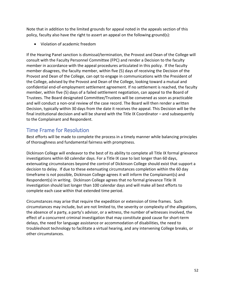Note that in addition to the limited grounds for appeal noted in the appeals section of this policy, faculty also have the right to assert an appeal on the following ground(s):

• Violation of academic freedom

If the Hearing Panel sanction is dismissal/termination, the Provost and Dean of the College will consult with the Faculty Personnel Committee (FPC) and render a Decision to the faculty member in accordance with the appeal procedures articulated in this policy. If the faculty member disagrees, the faculty member, within five (5) days of receiving the Decision of the Provost and Dean of the College, can opt to engage in communications with the President of the College, advised by the Provost and Dean of the College, looking toward a mutual and confidential end-of-employment settlement agreement. If no settlement is reached, the faculty member, within five (5) days of a failed settlement negotiation, can appeal to the Board of Trustees. The Board designated Committee/Trustees will be convened as soon as practicable and will conduct a non-oral review of the case record. The Board will then render a written Decision, typically within 30 days from the date it receives the appeal. This Decision will be the final institutional decision and will be shared with the Title IX Coordinator – and subsequently to the Complainant and Respondent.

# <span id="page-52-0"></span>Time Frame for Resolution

Best efforts will be made to complete the process in a timely manner while balancing principles of thoroughness and fundamental fairness with promptness.

Dickinson College will endeavor to the best of its ability to complete all Title IX formal grievance investigations within 60 calendar days. For a Title IX case to last longer than 60 days, extenuating circumstances beyond the control of Dickinson College should exist that support a decision to delay. If due to these extenuating circumstances completion within the 60 day timeframe is not possible, Dickinson College agrees it will inform the Complainant(s) and Respondent(s) in writing. Dickinson College agrees that no formal grievance Title IX investigation should last longer than 100 calendar days and will make all best efforts to complete each case within that extended time period.

Circumstances may arise that require the expedition or extension of time frames. Such circumstances may include, but are not limited to, the severity or complexity of the allegations, the absence of a party, a party's advisor, or a witness, the number of witnesses involved, the effect of a concurrent criminal investigation that may constitute good cause for short-term delays, the need for language assistance or accommodation of disabilities, the need to troubleshoot technology to facilitate a virtual hearing, and any intervening College breaks, or other circumstances.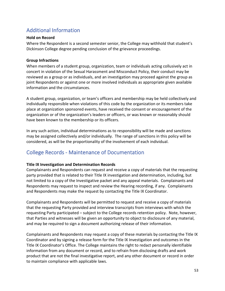# <span id="page-53-0"></span>Additional Information

### <span id="page-53-1"></span>**Hold on Record**

Where the Respondent is a second semester senior, the College may withhold that student's Dickinson College degree pending conclusion of the grievance proceedings.

### <span id="page-53-2"></span>**Group Infractions**

When members of a student group, organization, team or individuals acting collusively act in concert in violation of the Sexual Harassment and Misconduct Policy, their conduct may be reviewed as a group or as individuals, and an investigation may proceed against the group as joint Respondents or against one or more involved individuals as appropriate given available information and the circumstances.

A student group, organization, or team's officers and membership may be held collectively and individually responsible when violations of this code by the organization or its members take place at organization sponsored events, have received the consent or encouragement of the organization or of the organization's leaders or officers, or was known or reasonably should have been known to the membership or its officers.

In any such action, individual determinations as to responsibility will be made and sanctions may be assigned collectively and/or individually. The range of sanctions in this policy will be considered, as will be the proportionality of the involvement of each individual.

# <span id="page-53-3"></span>College Records - Maintenance of Documentation

### **Title IX Investigation and Determination Records**

Complainants and Respondents can request and receive a copy of materials that the requesting party provided that is related to their Title IX investigation and determination, including, but not limited to a copy of the Investigative packet and any appeal materials. Complainants and Respondents may request to inspect and review the Hearing recording, if any. Complainants and Respondents may make the request by contacting the Title IX Coordinator.

Complainants and Respondents will be permitted to request and receive a copy of materials that the requesting Party provided and interview transcripts from interviews with which the requesting Party participated – subject to the College records retention policy. Note, however, that Parties and witnesses will be given an opportunity to object to disclosure of any material, and may be required to sign a document authorizing release of their information.

Complainants and Respondents may request a copy of these materials by contacting the Title IX Coordinator and by signing a release form for the Title IX Investigation and outcomes in the Title IX Coordinator's Office. The College maintains the right to redact personally identifiable information from any document or record, and to refrain from disclosing drafts and work product that are not the final investigative report, and any other document or record in order to maintain compliance with applicable laws.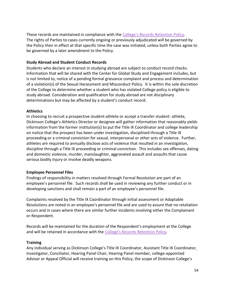These records are maintained in compliance with the [College's Records Retention Policy.](https://www.dickinson.edu/download/downloads/id/10222/records_management_and_retention_policy.pdf) The rights of Parties to cases currently ongoing or previously adjudicated will be governed by the Policy then in effect at that specific time the case was initiated, unless both Parties agree to be governed by a later amendment to the Policy.

#### <span id="page-54-0"></span>**Study Abroad and Student Conduct Records**

Students who declare an interest in studying abroad are subject to conduct record checks. Information that will be shared with the Center for Global Study and Engagement includes, but is not limited to, notice of a pending formal grievance complaint and process and determination of a violation(s) of the Sexual Harassment and Misconduct Policy. It is within the sole discretion of the College to determine whether a student who has violated College policy is eligible to study abroad. Consideration and qualification for study abroad are not disciplinary determinations but may be affected by a student's conduct record.

#### **Athletics**

In choosing to recruit a prospective student-athlete or accept a transfer student- athlete, Dickinson College's Athletics Director or designee will gather information that reasonably yields information from the former institution(s) to put the Title IX Coordinator and college leadership on notice that the prospect has been under investigation, disciplined through a Title IX proceeding or a criminal conviction for sexual, interpersonal or other acts of violence. Further, athletes are required to annually disclose acts of violence that resulted in an investigation, discipline through a Title IX proceeding or criminal conviction. This includes sex offenses, dating and domestic violence, murder, manslaughter, aggravated assault and assaults that cause serious bodily injury or involve deadly weapons.

### <span id="page-54-1"></span>**Employee Personnel Files**

Findings of responsibility in matters resolved through Formal Resolution are part of an employee's personnel file. Such records shall be used in reviewing any further conduct or in developing sanctions and shall remain a part of an employee's personnel file.

Complaints resolved by the Title IX Coordinator through initial assessment or Adaptable Resolutions are noted in an employee's personnel file and are used to assure that no retaliation occurs and in cases where there are similar further incidents involving either the Complainant or Respondent.

Records will be maintained for the duration of the Respondent's employment at the College and will be retained in accordance with the [College's Records Retention Policy.](https://www.dickinson.edu/download/downloads/id/10222/records_management_and_retention_policy.pdf)

#### **Training**

Any individual serving as Dickinson College's Title IX Coordinator, Assistant Title IX Coordinator, Investigator, Conciliator, Hearing Panel Chair, Hearing Panel member, college-appointed Advisor or Appeal Official will receive training on this Policy, the scope of Dickinson College's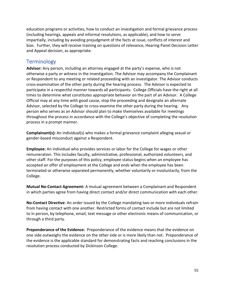education programs or activities, how to conduct an investigation and formal grievance process (including hearings, appeals and informal resolutions, as applicable), and how to serve impartially, including by avoiding prejudgment of the facts at issue, conflicts of interest and bias. Further, they will receive training on questions of relevance, Hearing Panel Decision Letter and Appeal decision, as appropriate.

### <span id="page-55-0"></span>**Terminology**

**Advisor:** Any person, including an attorney engaged at the party's expense, who is not otherwise a party or witness in the investigation. The Advisor may accompany the Complainant or Respondent to any meeting or related proceeding with an investigator. The Advisor conducts cross-examination of the other party during the hearing process. The Advisor is expected to participate in a respectful manner towards all participants. College Officials have the right at all times to determine what constitutes appropriate behavior on the part of an Advisor. A College Official may at any time with good cause, stop the proceeding and designate an alternate Advisor, selected by the College to cross-examine the other party during the hearing. Any person who serves as an Advisor should plan to make themselves available for meetings throughout the process in accordance with the College's objective of completing the resolution process in a prompt manner.

**Complainant(s):** An individual(s) who makes a formal grievance complaint alleging sexual or gender-based misconduct against a Respondent.

**Employee:** An individual who provides services or labor for the College for wages or other remuneration. This includes faculty, administrative, professional, authorized volunteers, and other staff. For the purposes of this policy, employee status begins when an employee has accepted an offer of employment at the College and ends when the employee has been terminated or otherwise separated permanently, whether voluntarily or involuntarily, from the College.

**Mutual No-Contact Agreement:** A mutual agreement between a Complainant and Respondent in which parties agree from having direct contact and/or direct communication with each other.

**No-Contact Directive**: An order issued by the College mandating two or more individuals refrain from having contact with one another. Restricted forms of contact include but are not limited to in person, by telephone, email, text message or other electronic means of communication, or through a third party.

**Preponderance of the Evidence:** Preponderance of the evidence means that the evidence on one side outweighs the evidence on the other side or is more likely than not. Preponderance of the evidence is the applicable standard for demonstrating facts and reaching conclusions in the resolution process conducted by Dickinson College.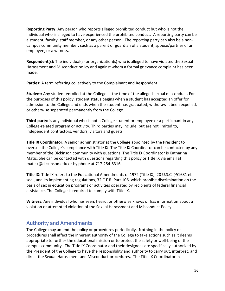**Reporting Party**: Any person who reports alleged prohibited conduct but who is not the individual who is alleged to have experienced the prohibited conduct. A reporting party can be a student, faculty, staff member, or any other person. The reporting party can also be a noncampus community member, such as a parent or guardian of a student, spouse/partner of an employee, or a witness.

**Respondent(s):** The individual(s) or organization(s) who is alleged to have violated the Sexual Harassment and Misconduct policy and against whom a formal grievance complaint has been made.

**Parties:** A term referring collectively to the Complainant and Respondent.

**Student:** Any student enrolled at the College at the time of the alleged sexual misconduct. For the purposes of this policy, student status begins when a student has accepted an offer for admission to the College and ends when the student has graduated, withdrawn, been expelled, or otherwise separated permanently from the College.

**Third-party:** is any individual who is not a College student or employee or a participant in any College-related program or activity. Third parties may include, but are not limited to, independent contractors, vendors, visitors and guests

**Title IX Coordinator:** A senior administrator at the College appointed by the President to oversee the College's compliance with Title IX. The Title IX Coordinator can be contacted by any member of the Dickinson community with questions. The Title IX Coordinator is Katharina Matic. She can be contacted with questions regarding this policy or Title IX via email at matick@dickinson.edu or by phone at 717-254-8316.

**Title IX:** Title IX refers to the Educational Amendments of 1972 (Title IX), 20 U.S.C. §§1681 et seq., and its implementing regulations, 32 C.F.R. Part 106, which prohibit discrimination on the basis of sex in education programs or activities operated by recipients of federal financial assistance. The College is required to comply with Title IX.

**Witness:** Any individual who has seen, heard, or otherwise knows or has information about a violation or attempted violation of the Sexual Harassment and Misconduct Policy.

# <span id="page-56-0"></span>Authority and Amendments

The College may amend the policy or procedures periodically. Nothing in the policy or procedures shall affect the inherent authority of the College to take actions such as it deems appropriate to further the educational mission or to protect the safety or well-being of the campus community. The Title IX Coordinator and their designees are specifically authorized by the President of the College to have the responsibility and authority to carry out, interpret, and direct the Sexual Harassment and Misconduct procedures. The Title IX Coordinator in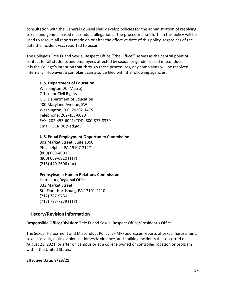consultation with the General Counsel shall develop policies for the administration of resolving sexual and gender-based misconduct allegations. The procedures set forth in this policy will be used to resolve all reports made on or after the effective date of this policy, regardless of the date the incident was reported to occur.

The College's Title IX and Sexual Respect Office ("the Office") serves as the central point of contact for all students and employees affected by sexual or gender-based misconduct. It is the College's intention that through these procedures, any complaints will be resolved internally. However, a complaint can also be filed with the following agencies:

#### **U.S. Department of Education**

Washington DC (Metro) Office for Civil Rights U.S. Department of Education 400 Maryland Avenue, SW Washington, D.C. 20202-1475 Telephone: 202-453-6020 FAX: 202-453-6021; TDD: 800-877-8339 Email: [OCR.DC@ed.gov](mailto:OCR.DC@ed.gov)

#### **U.S. Equal Employment Opportunity Commission**

801 Market Street, Suite 1300 Philadelphia, PA 19107-3127 (800) 669-4000 (800) 669-6820 (TTY) (215) 440-2606 (fax)

#### **Pennsylvania Human Relations Commission**

Harrisburg Regional Office 333 Market Street, 8th Floor Harrisburg, PA 17101-2210 (717) 787-9780 (717) 787-7279 (TTY)

### **History/Revision Information**

**Responsible Office/Division:** Title IX and Sexual Respect Office/President's Office

The [Sexual](https://policy.psu.edu/policies/ad85) Harassment and Misconduct Policy (SHMP) addresses reports of sexual harassment, sexual assault, dating violence, domestic violence, and stalking incidents that occurred on August 23, 2021, or after on campus or at a college owned or controlled location or program within the United States.

#### **Effective Date: 8/23/21**